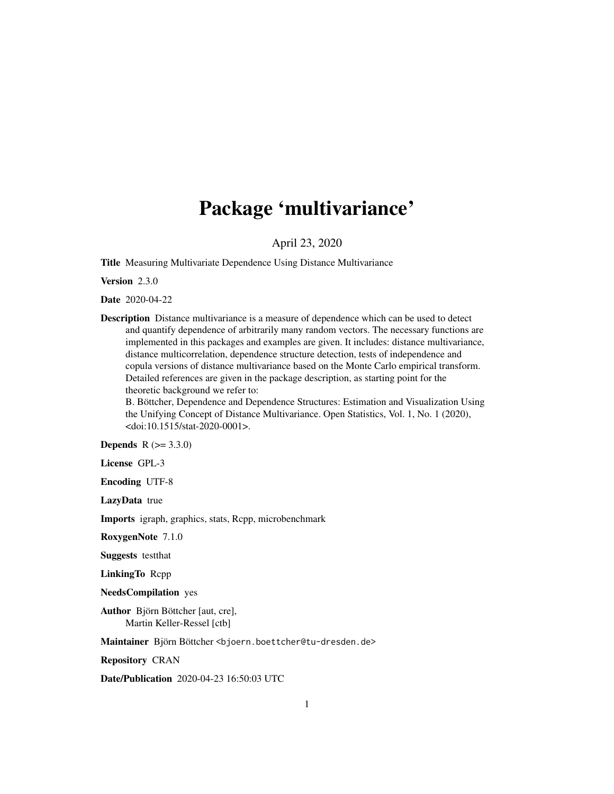# Package 'multivariance'

April 23, 2020

<span id="page-0-0"></span>Title Measuring Multivariate Dependence Using Distance Multivariance

Version 2.3.0

Date 2020-04-22

Description Distance multivariance is a measure of dependence which can be used to detect and quantify dependence of arbitrarily many random vectors. The necessary functions are implemented in this packages and examples are given. It includes: distance multivariance, distance multicorrelation, dependence structure detection, tests of independence and copula versions of distance multivariance based on the Monte Carlo empirical transform. Detailed references are given in the package description, as starting point for the theoretic background we refer to:

B. Böttcher, Dependence and Dependence Structures: Estimation and Visualization Using the Unifying Concept of Distance Multivariance. Open Statistics, Vol. 1, No. 1 (2020), <doi:10.1515/stat-2020-0001>.

**Depends** R  $(>= 3.3.0)$ 

License GPL-3

Encoding UTF-8

LazyData true

Imports igraph, graphics, stats, Rcpp, microbenchmark

RoxygenNote 7.1.0

Suggests testthat

LinkingTo Rcpp

NeedsCompilation yes

Author Björn Böttcher [aut, cre], Martin Keller-Ressel [ctb]

Maintainer Björn Böttcher <br/>bjoern.boettcher@tu-dresden.de>

Repository CRAN

Date/Publication 2020-04-23 16:50:03 UTC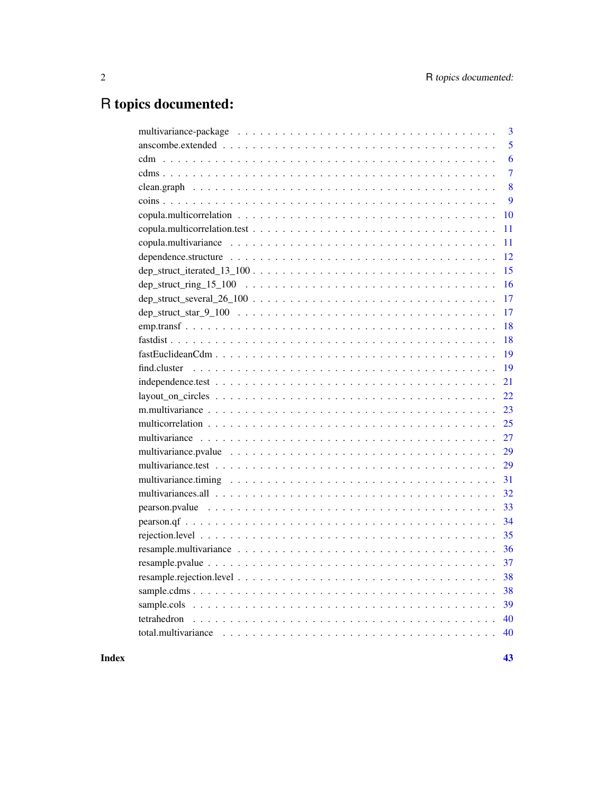# R topics documented:

| 3                                 |
|-----------------------------------|
| 5                                 |
| 6                                 |
| $\overline{7}$                    |
| 8                                 |
| 9                                 |
| 10                                |
| 11                                |
| 11                                |
| 12                                |
| 15                                |
| 16                                |
| $dep_struct_several_26_100$<br>17 |
| 17                                |
| 18                                |
| 18                                |
| 19                                |
| 19                                |
| 21                                |
| 22                                |
| 23                                |
| 25                                |
| 27                                |
| 29                                |
| 29                                |
| 31                                |
| 32                                |
| 33                                |
| 34                                |
| 35                                |
| 36                                |
| 37                                |
| 38                                |
| 38                                |
| 39                                |
| 40                                |
|                                   |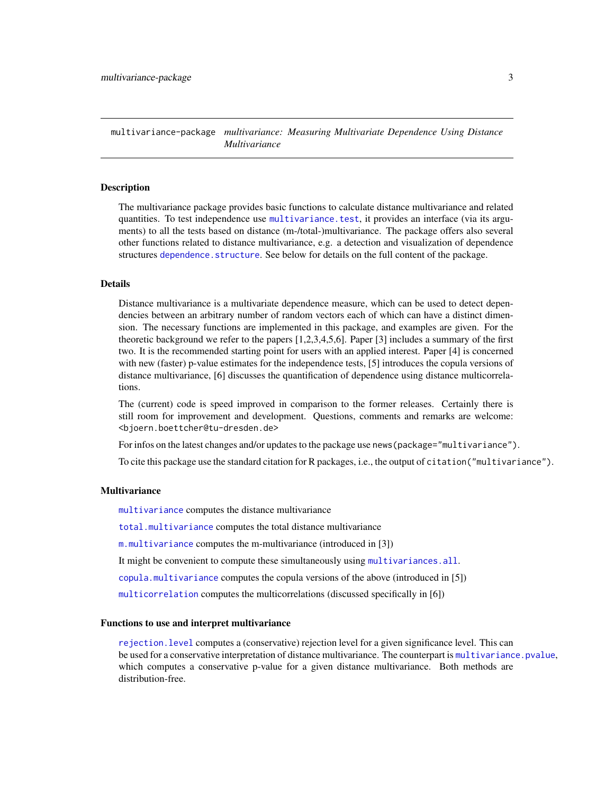<span id="page-2-1"></span><span id="page-2-0"></span>multivariance-package *multivariance: Measuring Multivariate Dependence Using Distance Multivariance*

#### Description

The multivariance package provides basic functions to calculate distance multivariance and related quantities. To test independence use [multivariance.test](#page-28-1), it provides an interface (via its arguments) to all the tests based on distance (m-/total-)multivariance. The package offers also several other functions related to distance multivariance, e.g. a detection and visualization of dependence structures [dependence.structure](#page-11-1). See below for details on the full content of the package.

# **Details**

Distance multivariance is a multivariate dependence measure, which can be used to detect dependencies between an arbitrary number of random vectors each of which can have a distinct dimension. The necessary functions are implemented in this package, and examples are given. For the theoretic background we refer to the papers [1,2,3,4,5,6]. Paper [3] includes a summary of the first two. It is the recommended starting point for users with an applied interest. Paper [4] is concerned with new (faster) p-value estimates for the independence tests, [5] introduces the copula versions of distance multivariance, [6] discusses the quantification of dependence using distance multicorrelations.

The (current) code is speed improved in comparison to the former releases. Certainly there is still room for improvement and development. Questions, comments and remarks are welcome: <bjoern.boettcher@tu-dresden.de>

For infos on the latest changes and/or updates to the package use news (package="multivariance").

To cite this package use the standard citation for R packages, i.e., the output of citation("multivariance").

#### **Multivariance**

[multivariance](#page-26-1) computes the distance multivariance

[total.multivariance](#page-39-1) computes the total distance multivariance

[m.multivariance](#page-22-1) computes the m-multivariance (introduced in [3])

It might be convenient to compute these simultaneously using [multivariances.all](#page-31-1).

[copula.multivariance](#page-10-1) computes the copula versions of the above (introduced in [5])

[multicorrelation](#page-24-1) computes the multicorrelations (discussed specifically in [6])

#### Functions to use and interpret multivariance

[rejection.level](#page-34-1) computes a (conservative) rejection level for a given significance level. This can be used for a conservative interpretation of distance multivariance. The counterpart is [multivariance.pvalue](#page-28-2), which computes a conservative p-value for a given distance multivariance. Both methods are distribution-free.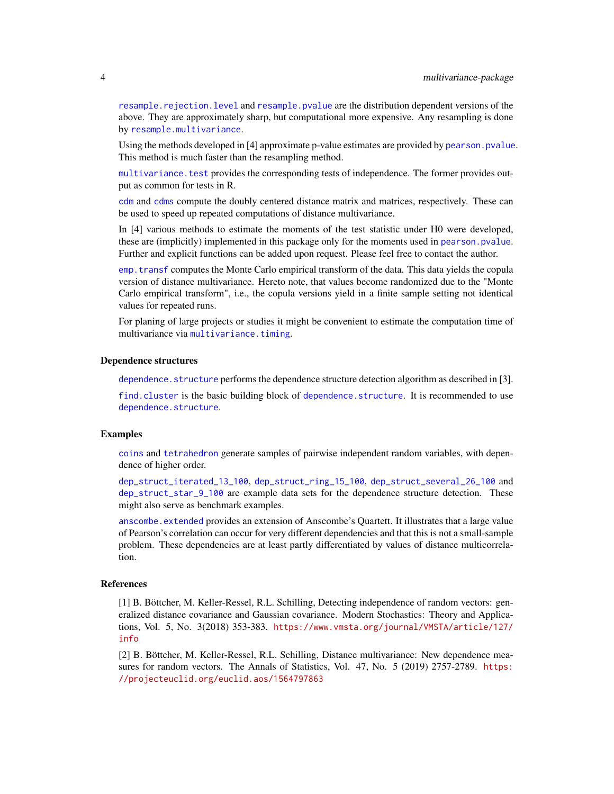<span id="page-3-0"></span>[resample.rejection.level](#page-37-1) and [resample.pvalue](#page-36-1) are the distribution dependent versions of the above. They are approximately sharp, but computational more expensive. Any resampling is done by [resample.multivariance](#page-35-1).

Using the methods developed in [4] approximate p-value estimates are provided by [pearson.pvalue](#page-32-1). This method is much faster than the resampling method.

[multivariance.test](#page-28-1) provides the corresponding tests of independence. The former provides output as common for tests in R.

[cdm](#page-5-1) and [cdms](#page-6-1) compute the doubly centered distance matrix and matrices, respectively. These can be used to speed up repeated computations of distance multivariance.

In [4] various methods to estimate the moments of the test statistic under H0 were developed, these are (implicitly) implemented in this package only for the moments used in [pearson.pvalue](#page-32-1). Further and explicit functions can be added upon request. Please feel free to contact the author.

[emp.transf](#page-17-1) computes the Monte Carlo empirical transform of the data. This data yields the copula version of distance multivariance. Hereto note, that values become randomized due to the "Monte Carlo empirical transform", i.e., the copula versions yield in a finite sample setting not identical values for repeated runs.

For planing of large projects or studies it might be convenient to estimate the computation time of multivariance via [multivariance.timing](#page-30-1).

#### Dependence structures

[dependence.structure](#page-11-1) performs the dependence structure detection algorithm as described in [3].

[find.cluster](#page-18-1) is the basic building block of [dependence.structure](#page-11-1). It is recommended to use [dependence.structure](#page-11-1).

#### Examples

[coins](#page-8-1) and [tetrahedron](#page-39-2) generate samples of pairwise independent random variables, with dependence of higher order.

[dep\\_struct\\_iterated\\_13\\_100](#page-14-1), [dep\\_struct\\_ring\\_15\\_100](#page-15-1), [dep\\_struct\\_several\\_26\\_100](#page-16-1) and [dep\\_struct\\_star\\_9\\_100](#page-16-2) are example data sets for the dependence structure detection. These might also serve as benchmark examples.

[anscombe.extended](#page-4-1) provides an extension of Anscombe's Quartett. It illustrates that a large value of Pearson's correlation can occur for very different dependencies and that this is not a small-sample problem. These dependencies are at least partly differentiated by values of distance multicorrelation.

#### References

[1] B. Böttcher, M. Keller-Ressel, R.L. Schilling, Detecting independence of random vectors: generalized distance covariance and Gaussian covariance. Modern Stochastics: Theory and Applications, Vol. 5, No. 3(2018) 353-383. [https://www.vmsta.org/journal/VMSTA/article/127/](https://www.vmsta.org/journal/VMSTA/article/127/info) [info](https://www.vmsta.org/journal/VMSTA/article/127/info)

[2] B. Böttcher, M. Keller-Ressel, R.L. Schilling, Distance multivariance: New dependence measures for random vectors. The Annals of Statistics, Vol. 47, No. 5 (2019) 2757-2789. [https:](https://projecteuclid.org/euclid.aos/1564797863) [//projecteuclid.org/euclid.aos/1564797863](https://projecteuclid.org/euclid.aos/1564797863)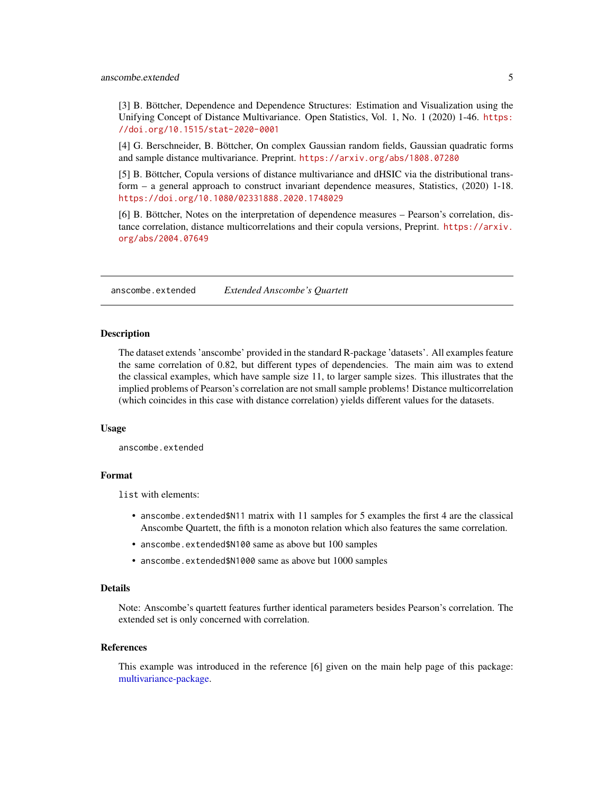<span id="page-4-0"></span>[3] B. Böttcher, Dependence and Dependence Structures: Estimation and Visualization using the Unifying Concept of Distance Multivariance. Open Statistics, Vol. 1, No. 1 (2020) 1-46. [https:](https://doi.org/10.1515/stat-2020-0001) [//doi.org/10.1515/stat-2020-0001](https://doi.org/10.1515/stat-2020-0001)

[4] G. Berschneider, B. Böttcher, On complex Gaussian random fields, Gaussian quadratic forms and sample distance multivariance. Preprint. <https://arxiv.org/abs/1808.07280>

[5] B. Böttcher, Copula versions of distance multivariance and dHSIC via the distributional transform – a general approach to construct invariant dependence measures, Statistics, (2020) 1-18. <https://doi.org/10.1080/02331888.2020.1748029>

[6] B. Böttcher, Notes on the interpretation of dependence measures – Pearson's correlation, distance correlation, distance multicorrelations and their copula versions, Preprint. [https://arxiv.](https://arxiv.org/abs/2004.07649) [org/abs/2004.07649](https://arxiv.org/abs/2004.07649)

<span id="page-4-1"></span>anscombe.extended *Extended Anscombe's Quartett*

#### **Description**

The dataset extends 'anscombe' provided in the standard R-package 'datasets'. All examples feature the same correlation of 0.82, but different types of dependencies. The main aim was to extend the classical examples, which have sample size 11, to larger sample sizes. This illustrates that the implied problems of Pearson's correlation are not small sample problems! Distance multicorrelation (which coincides in this case with distance correlation) yields different values for the datasets.

#### Usage

anscombe.extended

#### Format

list with elements:

- anscombe.extended\$N11 matrix with 11 samples for 5 examples the first 4 are the classical Anscombe Quartett, the fifth is a monoton relation which also features the same correlation.
- anscombe.extended\$N100 same as above but 100 samples
- anscombe.extended\$N1000 same as above but 1000 samples

#### Details

Note: Anscombe's quartett features further identical parameters besides Pearson's correlation. The extended set is only concerned with correlation.

#### References

This example was introduced in the reference [6] given on the main help page of this package: [multivariance-package.](#page-2-1)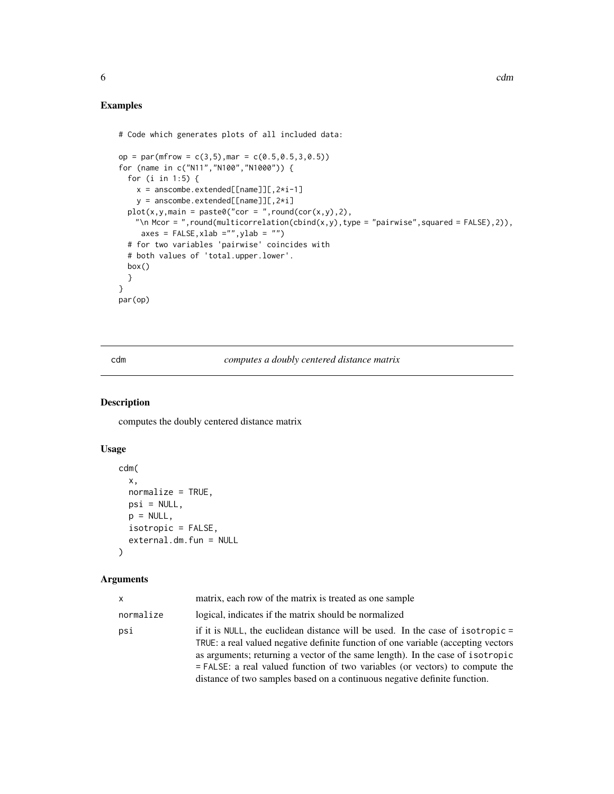```
# Code which generates plots of all included data:
op = par(mfrow = c(3,5), mar = c(0.5, 0.5, 3, 0.5))
for (name in c("N11","N100","N1000")) {
  for (i in 1:5) {
   x = anscombe.extended[[name]][, 2*i-1]
    y = anscombe.extended[[name]][, 2 * i]
  plot(x,y,main = paste0("cor = ",round(cor(x,y),2),"\n Mcor = ",round(multicorrelation(cbind(x,y),type = "pairwise",squared = FALSE),2)),
     axes = FALSE, xlab = "", ylab = "")# for two variables 'pairwise' coincides with
  # both values of 'total.upper.lower'.
  box()
  }
}
par(op)
```
<span id="page-5-1"></span>cdm *computes a doubly centered distance matrix*

# Description

computes the doubly centered distance matrix

# Usage

```
cdm(
  x,
 normalize = TRUE,
 psi = NULL,p = NULL,isotropic = FALSE,
  external.dm.fun = NULL
)
```

| x         | matrix, each row of the matrix is treated as one sample                                                                                                                                                                                                                                                                                                                                                              |
|-----------|----------------------------------------------------------------------------------------------------------------------------------------------------------------------------------------------------------------------------------------------------------------------------------------------------------------------------------------------------------------------------------------------------------------------|
| normalize | logical, indicates if the matrix should be normalized                                                                                                                                                                                                                                                                                                                                                                |
| psi       | if it is NULL, the euclidean distance will be used. In the case of isotropic $=$<br>TRUE: a real valued negative definite function of one variable (accepting vectors<br>as arguments; returning a vector of the same length). In the case of isotropic<br>= FALSE: a real valued function of two variables (or vectors) to compute the<br>distance of two samples based on a continuous negative definite function. |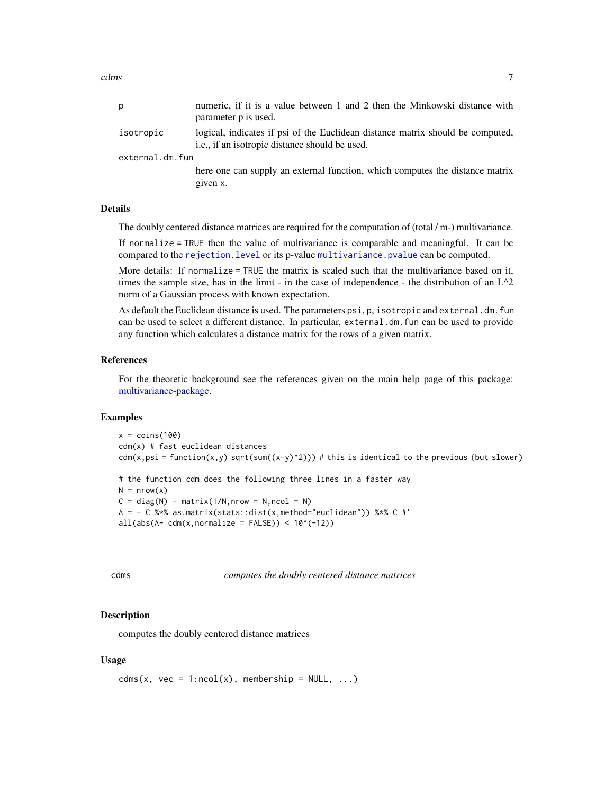<span id="page-6-0"></span>cdms 7

| p               | numeric, if it is a value between 1 and 2 then the Minkowski distance with<br>parameter p is used.                               |  |
|-----------------|----------------------------------------------------------------------------------------------------------------------------------|--|
| isotropic       | logical, indicates if psi of the Euclidean distance matrix should be computed,<br>i.e., if an isotropic distance should be used. |  |
| external.dm.fun |                                                                                                                                  |  |
|                 | here one can supply an external function, which computes the distance matrix<br>given x.                                         |  |

# Details

The doubly centered distance matrices are required for the computation of (total / m-) multivariance.

If normalize = TRUE then the value of multivariance is comparable and meaningful. It can be compared to the [rejection.level](#page-34-1) or its p-value [multivariance.pvalue](#page-28-2) can be computed.

More details: If normalize = TRUE the matrix is scaled such that the multivariance based on it, times the sample size, has in the limit - in the case of independence - the distribution of an  $L^2$ ? norm of a Gaussian process with known expectation.

As default the Euclidean distance is used. The parameters psi, p, isotropic and external.dm.fun can be used to select a different distance. In particular, external.dm.fun can be used to provide any function which calculates a distance matrix for the rows of a given matrix.

#### **References**

For the theoretic background see the references given on the main help page of this package: [multivariance-package.](#page-2-1)

#### Examples

```
x = \text{coins}(100)cdm(x) # fast euclidean distances
cdm(x,psi) = function(x,y) sqrt(sum((x-y)^2))) # this is identical to the previous (but slower)
# the function cdm does the following three lines in a faster way
N = nrow(x)C = diag(N) - matrix(1/N, nrow = N, ncol = N)A = - C %*% as.matrix(stats::dist(x,method="euclidean")) %*% C #'
all(abs(A-cdm(x,normalize = FALSE)) < 10^(-12))
```
<span id="page-6-1"></span>

computes the doubly centered distance matrices

#### Description

computes the doubly centered distance matrices

#### Usage

```
cdms(x, vec = 1:ncol(x), membership = NULL, ...)
```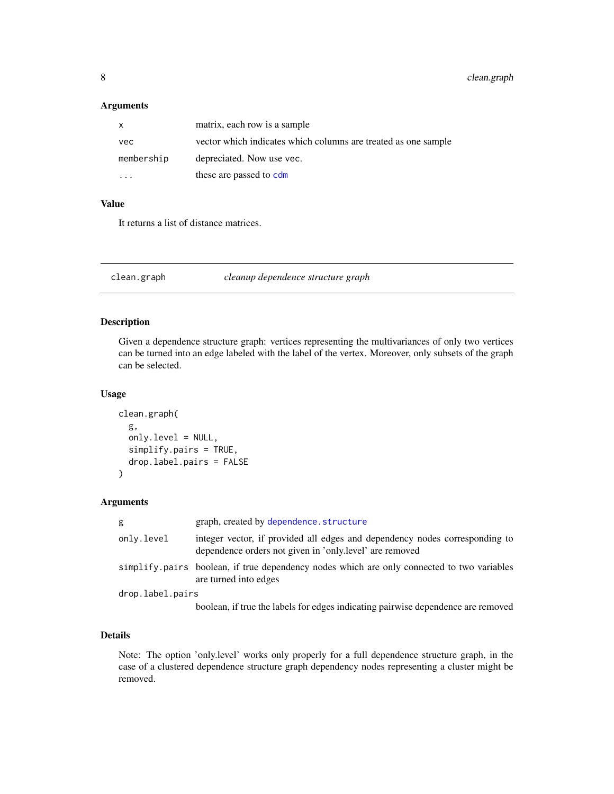# <span id="page-7-0"></span>Arguments

| X.         | matrix, each row is a sample                                   |
|------------|----------------------------------------------------------------|
| vec        | vector which indicates which columns are treated as one sample |
| membership | depreciated. Now use vec.                                      |
|            | these are passed to cdm                                        |

# Value

It returns a list of distance matrices.

<span id="page-7-1"></span>clean.graph *cleanup dependence structure graph*

# Description

Given a dependence structure graph: vertices representing the multivariances of only two vertices can be turned into an edge labeled with the label of the vertex. Moreover, only subsets of the graph can be selected.

#### Usage

```
clean.graph(
  g,
  only.level = NULL,
  simplify.pairs = TRUE,
  drop.label.pairs = FALSE
)
```
# Arguments

| g                | graph, created by dependence.structure                                                                                                 |  |
|------------------|----------------------------------------------------------------------------------------------------------------------------------------|--|
| only.level       | integer vector, if provided all edges and dependency nodes corresponding to<br>dependence orders not given in 'only level' are removed |  |
|                  | simplify pairs boolean, if true dependency nodes which are only connected to two variables<br>are turned into edges                    |  |
| drop.label.pairs |                                                                                                                                        |  |
|                  | boolean, if true the labels for edges indicating pairwise dependence are removed                                                       |  |

# Details

Note: The option 'only.level' works only properly for a full dependence structure graph, in the case of a clustered dependence structure graph dependency nodes representing a cluster might be removed.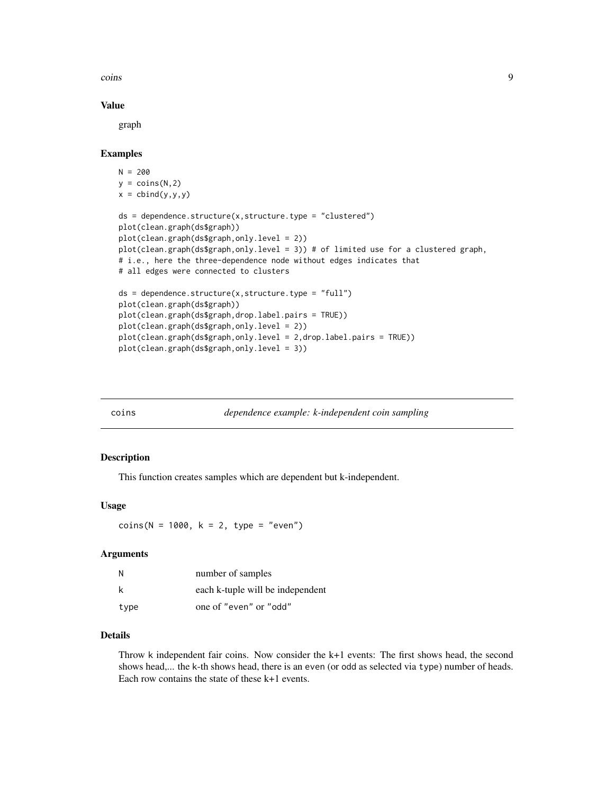<span id="page-8-0"></span>coins **9** 

# Value

graph

# Examples

```
N = 200y = \text{coins}(N, 2)x = \text{cbind}(y, y, y)ds = dependence.structure(x, structure, type = "clustered")plot(clean.graph(ds$graph))
plot(clean.graph(ds$graph,only.level = 2))
plot(clean.graph(ds$graph,only.level = 3)) # of limited use for a clustered graph,
# i.e., here the three-dependence node without edges indicates that
# all edges were connected to clusters
ds = dependence.structure(x, structure.type = "full")plot(clean.graph(ds$graph))
plot(clean.graph(ds$graph,drop.label.pairs = TRUE))
plot(clean.graph(ds$graph,only.level = 2))
plot(clean.graph(ds$graph,only.level = 2,drop.label.pairs = TRUE))
plot(clean.graph(ds$graph,only.level = 3))
```
<span id="page-8-1"></span>

coins *dependence example: k-independent coin sampling*

#### Description

This function creates samples which are dependent but k-independent.

#### Usage

 $coins(N = 1000, k = 2, type = "even")$ 

#### Arguments

| N    | number of samples                |
|------|----------------------------------|
| k    | each k-tuple will be independent |
| type | one of "even" or "odd"           |

# Details

Throw k independent fair coins. Now consider the k+1 events: The first shows head, the second shows head,... the k-th shows head, there is an even (or odd as selected via type) number of heads. Each row contains the state of these k+1 events.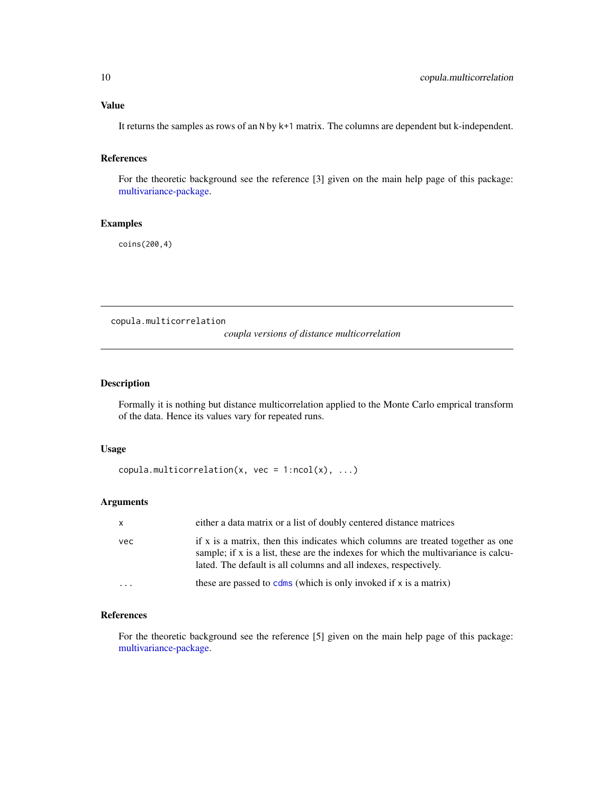# <span id="page-9-0"></span>Value

It returns the samples as rows of an N by k+1 matrix. The columns are dependent but k-independent.

#### References

For the theoretic background see the reference [3] given on the main help page of this package: [multivariance-package.](#page-2-1)

# Examples

coins(200,4)

copula.multicorrelation

*coupla versions of distance multicorrelation*

#### Description

Formally it is nothing but distance multicorrelation applied to the Monte Carlo emprical transform of the data. Hence its values vary for repeated runs.

# Usage

```
copula.multicorrelation(x, vec = 1:ncol(x), ...)
```
# Arguments

| $\mathsf{x}$ | either a data matrix or a list of doubly centered distance matrices                                                                                                                                                                        |
|--------------|--------------------------------------------------------------------------------------------------------------------------------------------------------------------------------------------------------------------------------------------|
| vec          | if x is a matrix, then this indicates which columns are treated together as one<br>sample; if x is a list, these are the indexes for which the multivariance is calcu-<br>lated. The default is all columns and all indexes, respectively. |
| $\cdot$      | these are passed to $cdms$ (which is only invoked if x is a matrix)                                                                                                                                                                        |

# References

For the theoretic background see the reference [5] given on the main help page of this package: [multivariance-package.](#page-2-1)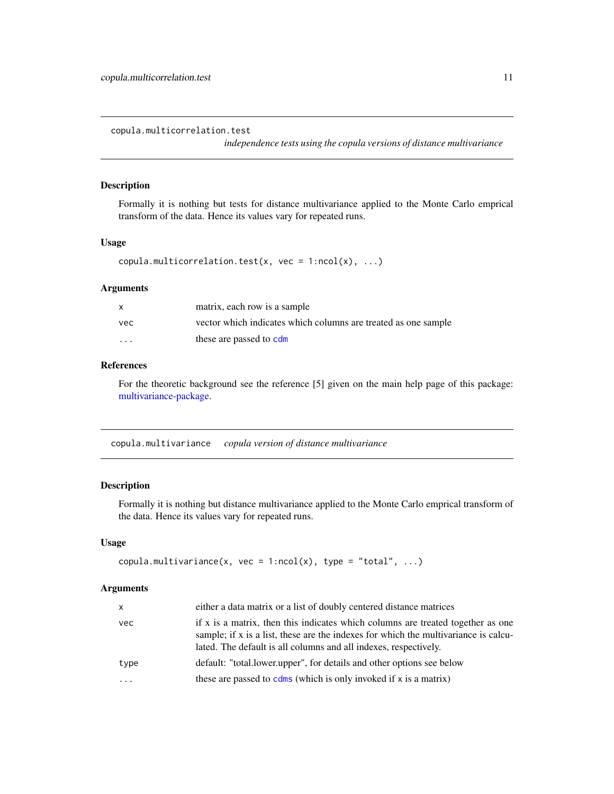<span id="page-10-0"></span>copula.multicorrelation.test

*independence tests using the copula versions of distance multivariance*

#### Description

Formally it is nothing but tests for distance multivariance applied to the Monte Carlo emprical transform of the data. Hence its values vary for repeated runs.

# Usage

```
copula.multicorrelation.test(x, vec = 1:ncol(x), ...)
```
# Arguments

|         | matrix, each row is a sample                                   |
|---------|----------------------------------------------------------------|
| vec.    | vector which indicates which columns are treated as one sample |
| $\cdot$ | these are passed to cdm                                        |

# References

For the theoretic background see the reference [5] given on the main help page of this package: [multivariance-package.](#page-2-1)

<span id="page-10-1"></span>copula.multivariance *copula version of distance multivariance*

# Description

Formally it is nothing but distance multivariance applied to the Monte Carlo emprical transform of the data. Hence its values vary for repeated runs.

#### Usage

```
copula.multivariance(x, vec = 1:ncol(x), type = "total", ...)
```

| $\mathsf{x}$ | either a data matrix or a list of doubly centered distance matrices                                                                                                                                                                        |
|--------------|--------------------------------------------------------------------------------------------------------------------------------------------------------------------------------------------------------------------------------------------|
| vec          | if x is a matrix, then this indicates which columns are treated together as one<br>sample; if x is a list, these are the indexes for which the multivariance is calcu-<br>lated. The default is all columns and all indexes, respectively. |
| type         | default: "total.lower.upper", for details and other options see below                                                                                                                                                                      |
|              | these are passed to $cdms$ (which is only invoked if x is a matrix)                                                                                                                                                                        |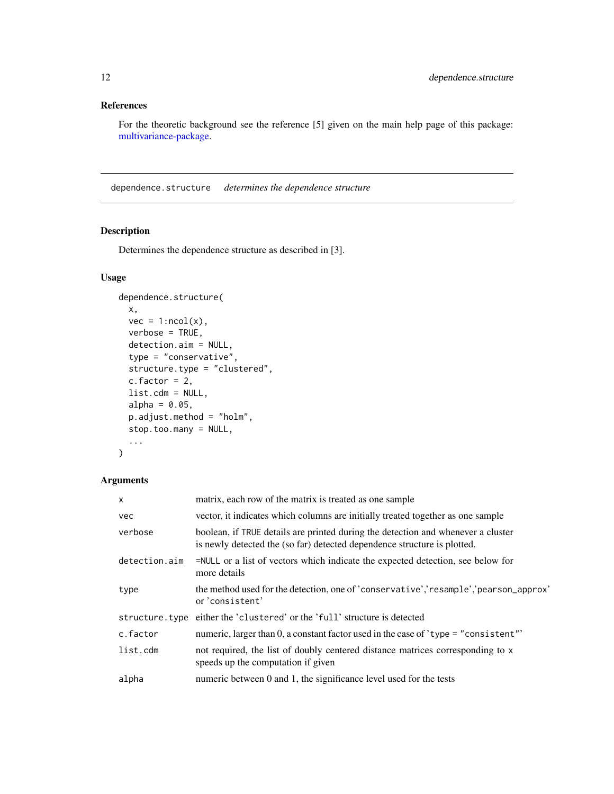# <span id="page-11-0"></span>References

For the theoretic background see the reference [5] given on the main help page of this package: [multivariance-package.](#page-2-1)

<span id="page-11-1"></span>dependence.structure *determines the dependence structure*

# Description

Determines the dependence structure as described in [3].

# Usage

```
dependence.structure(
 x,
 vec = 1:ncol(x),
 verbose = TRUE,
 detection.aim = NULL,
  type = "conservative",
  structure.type = "clustered",
  c.factor = 2,
 list.cdm = NULL,
 alpha = 0.05,
 p.adjust.method = "holm",
 stop.too.many = NULL,
  ...
\mathcal{L}
```

| X             | matrix, each row of the matrix is treated as one sample                                                                                                      |
|---------------|--------------------------------------------------------------------------------------------------------------------------------------------------------------|
| <b>vec</b>    | vector, it indicates which columns are initially treated together as one sample                                                                              |
| verbose       | boolean, if TRUE details are printed during the detection and whenever a cluster<br>is newly detected the (so far) detected dependence structure is plotted. |
| detection.aim | =NULL or a list of vectors which indicate the expected detection, see below for<br>more details                                                              |
| type          | the method used for the detection, one of 'conservative','resample','pearson_approx'<br>or 'consistent'                                                      |
|               | structure. type either the 'clustered' or the 'full' structure is detected                                                                                   |
| c.factor      | numeric, larger than 0, a constant factor used in the case of 'type = "consistent"                                                                           |
| list.cdm      | not required, the list of doubly centered distance matrices corresponding to x<br>speeds up the computation if given                                         |
| alpha         | numeric between 0 and 1, the significance level used for the tests                                                                                           |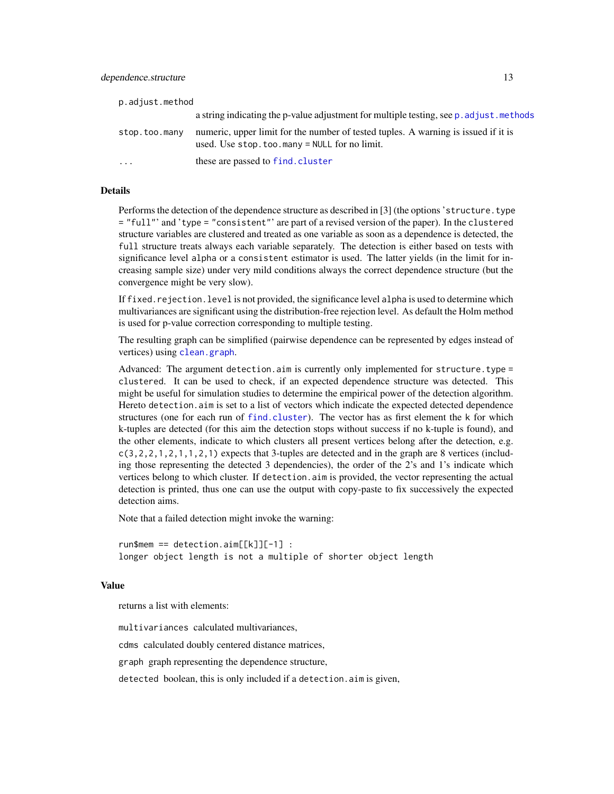<span id="page-12-0"></span>

| p.adjust.method         |                                                                                                                                     |
|-------------------------|-------------------------------------------------------------------------------------------------------------------------------------|
|                         | a string indicating the p-value adjustment for multiple testing, see p. adjust. methods                                             |
| stop.too.many           | numeric, upper limit for the number of tested tuples. A warning is issued if it is<br>used. Use $stop.too.max = NULL$ for no limit. |
| $\cdot$ $\cdot$ $\cdot$ | these are passed to find. cluster                                                                                                   |

#### Details

Performs the detection of the dependence structure as described in [3] (the options 'structure.type = "full"' and 'type = "consistent"' are part of a revised version of the paper). In the clustered structure variables are clustered and treated as one variable as soon as a dependence is detected, the full structure treats always each variable separately. The detection is either based on tests with significance level alpha or a consistent estimator is used. The latter yields (in the limit for increasing sample size) under very mild conditions always the correct dependence structure (but the convergence might be very slow).

If fixed, rejection. level is not provided, the significance level alpha is used to determine which multivariances are significant using the distribution-free rejection level. As default the Holm method is used for p-value correction corresponding to multiple testing.

The resulting graph can be simplified (pairwise dependence can be represented by edges instead of vertices) using [clean.graph](#page-7-1).

Advanced: The argument detection.aim is currently only implemented for structure.type = clustered. It can be used to check, if an expected dependence structure was detected. This might be useful for simulation studies to determine the empirical power of the detection algorithm. Hereto detection.aim is set to a list of vectors which indicate the expected detected dependence structures (one for each run of [find.cluster](#page-18-1)). The vector has as first element the k for which k-tuples are detected (for this aim the detection stops without success if no k-tuple is found), and the other elements, indicate to which clusters all present vertices belong after the detection, e.g.  $c(3,2,2,1,2,1,1,2,1)$  expects that 3-tuples are detected and in the graph are 8 vertices (including those representing the detected 3 dependencies), the order of the 2's and 1's indicate which vertices belong to which cluster. If detection.aim is provided, the vector representing the actual detection is printed, thus one can use the output with copy-paste to fix successively the expected detection aims.

Note that a failed detection might invoke the warning:

run\$mem == detection.aim[[k]][-1] : longer object length is not a multiple of shorter object length

#### Value

returns a list with elements:

multivariances calculated multivariances, cdms calculated doubly centered distance matrices,

graph graph representing the dependence structure,

detected boolean, this is only included if a detection.aim is given,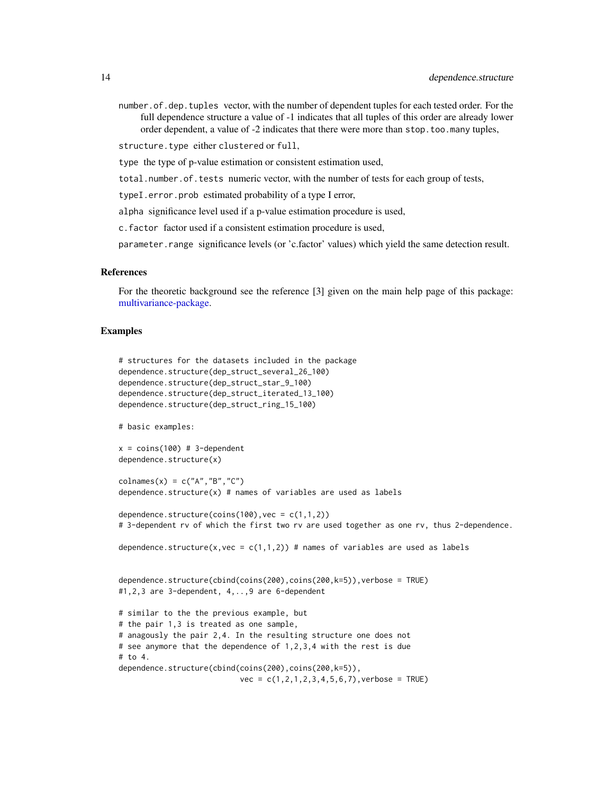<span id="page-13-0"></span>number.of.dep.tuples vector, with the number of dependent tuples for each tested order. For the full dependence structure a value of -1 indicates that all tuples of this order are already lower order dependent, a value of -2 indicates that there were more than stop.too.many tuples,

structure.type either clustered or full,

type the type of p-value estimation or consistent estimation used,

total.number.of.tests numeric vector, with the number of tests for each group of tests,

typeI.error.prob estimated probability of a type I error,

alpha significance level used if a p-value estimation procedure is used,

c.factor factor used if a consistent estimation procedure is used,

parameter.range significance levels (or 'c.factor' values) which yield the same detection result.

#### References

For the theoretic background see the reference [3] given on the main help page of this package: [multivariance-package.](#page-2-1)

#### Examples

```
# structures for the datasets included in the package
dependence.structure(dep_struct_several_26_100)
dependence.structure(dep_struct_star_9_100)
dependence.structure(dep_struct_iterated_13_100)
dependence.structure(dep_struct_ring_15_100)
```
# basic examples:

```
x = \text{coins}(100) # 3-dependentdependence.structure(x)
```

```
colnames(x) = c("A", "B", "C")dependence.structure(x) # names of variables are used as labels
```

```
dependence.structure(coins(100), vec = c(1,1,2))
# 3-dependent rv of which the first two rv are used together as one rv, thus 2-dependence.
```
dependence.structure(x,vec =  $c(1,1,2)$ ) # names of variables are used as labels

```
dependence.structure(cbind(coins(200),coins(200,k=5)),verbose = TRUE)
#1,2,3 are 3-dependent, 4,..,9 are 6-dependent
```
# similar to the the previous example, but # the pair 1,3 is treated as one sample, # anagously the pair 2,4. In the resulting structure one does not # see anymore that the dependence of 1,2,3,4 with the rest is due  $#$  to 4. dependence.structure(cbind(coins(200),coins(200,k=5)),  $vec = c(1, 2, 1, 2, 3, 4, 5, 6, 7)$ , verbose = TRUE)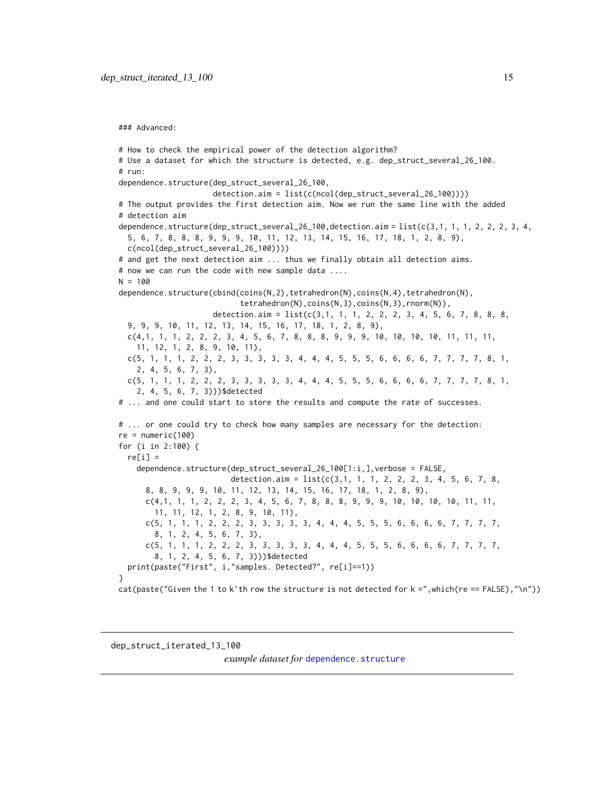<span id="page-14-0"></span>### Advanced:

```
# How to check the empirical power of the detection algorithm?
# Use a dataset for which the structure is detected, e.g. dep_struct_several_26_100.
# run:
dependence.structure(dep_struct_several_26_100,
                     detection.aim = list(c(ncol(dep_struct_several_26_100))))
# The output provides the first detection aim. Now we run the same line with the added
# detection aim
dependence.structure(dep_struct_several_26_100,detection.aim = list(c(3,1, 1, 1, 2, 2, 2, 3, 4,
 5, 6, 7, 8, 8, 8, 9, 9, 9, 10, 11, 12, 13, 14, 15, 16, 17, 18, 1, 2, 8, 9),
 c(ncol(dep_struct_several_26_100))))
# and get the next detection aim ... thus we finally obtain all detection aims.
# now we can run the code with new sample data ....
N = 100dependence.structure(cbind(coins(N,2),tetrahedron(N),coins(N,4),tetrahedron(N),
                           tetrahedron(N),coins(N,3),coins(N,3),rnorm(N)),
                     detection.aim = list(c(3,1, 1, 1, 2, 2, 2, 3, 4, 5, 6, 7, 8, 8, 8,9, 9, 9, 10, 11, 12, 13, 14, 15, 16, 17, 18, 1, 2, 8, 9),
 c(4,1, 1, 1, 2, 2, 2, 3, 4, 5, 6, 7, 8, 8, 8, 9, 9, 9, 10, 10, 10, 10, 11, 11, 11,
    11, 12, 1, 2, 8, 9, 10, 11),
 c(5, 1, 1, 1, 2, 2, 2, 3, 3, 3, 3, 3, 4, 4, 4, 5, 5, 5, 6, 6, 6, 6, 7, 7, 7, 7, 8, 1,
    2, 4, 5, 6, 7, 3),
 c(5, 1, 1, 1, 2, 2, 2, 3, 3, 3, 3, 3, 4, 4, 4, 5, 5, 5, 6, 6, 6, 6, 7, 7, 7, 7, 8, 1,
    2, 4, 5, 6, 7, 3)))$detected
# ... and one could start to store the results and compute the rate of successes.
# ... or one could try to check how many samples are necessary for the detection:
re = numeric(100)
for (i in 2:100) {
 re[i] =dependence.structure(dep_struct_several_26_100[1:i,],verbose = FALSE,
                         detection.aim = list(c(3,1, 1, 1, 2, 2, 2, 3, 4, 5, 6, 7, 8,8, 8, 9, 9, 9, 10, 11, 12, 13, 14, 15, 16, 17, 18, 1, 2, 8, 9),
     c(4,1, 1, 1, 2, 2, 2, 3, 4, 5, 6, 7, 8, 8, 8, 9, 9, 9, 10, 10, 10, 10, 11, 11,
       11, 11, 12, 1, 2, 8, 9, 10, 11),
      c(5, 1, 1, 1, 2, 2, 2, 3, 3, 3, 3, 3, 4, 4, 4, 5, 5, 5, 6, 6, 6, 6, 7, 7, 7, 7,
       8, 1, 2, 4, 5, 6, 7, 3),
      c(5, 1, 1, 1, 2, 2, 2, 3, 3, 3, 3, 3, 4, 4, 4, 5, 5, 5, 6, 6, 6, 6, 7, 7, 7, 7,
       8, 1, 2, 4, 5, 6, 7, 3)))$detected
 print(paste("First", i,"samples. Detected?", re[i]==1))
}
cat(paste("Given the 1 to k'th row the structure is not detected for k = ",which(re == FALSE), "\n"))
```
<span id="page-14-1"></span>dep\_struct\_iterated\_13\_100

*example dataset for [dependence.structure](#page-11-1)*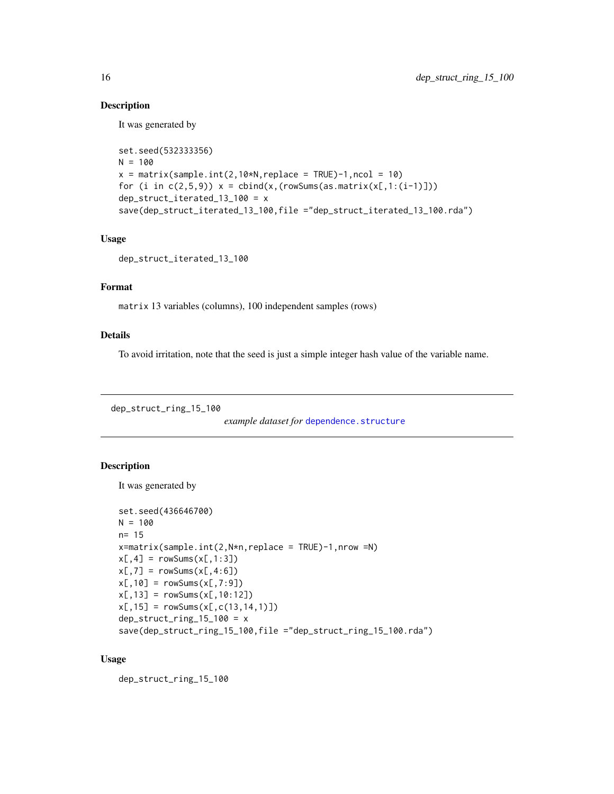# Description

It was generated by

```
set.seed(532333356)
N = 100x = matrix(sample.int(2,10*N, replace = TRUE)-1, ncol = 10)for (i in c(2,5,9)) x = \text{cbind}(x,(\text{rowSums}(as.\text{matrix}(x[,1:(i-1)])))dep_struct_iterated_13_100 = x
save(dep_struct_iterated_13_100,file ="dep_struct_iterated_13_100.rda")
```
#### Usage

```
dep_struct_iterated_13_100
```
# Format

matrix 13 variables (columns), 100 independent samples (rows)

#### Details

To avoid irritation, note that the seed is just a simple integer hash value of the variable name.

<span id="page-15-1"></span>dep\_struct\_ring\_15\_100

```
dependence.structure
```
#### Description

It was generated by

```
set.seed(436646700)
N = 100n= 15
x = matrix(sample.int(2,N*n,replace = TRUE) - 1, nrow = N)x[, 4] = rowsums(x[, 1:3])x[, 7] = rowsums(x[, 4:6])x[, 10] = rowsums(x[, 7:9])x[, 13] = rowsums(x[, 10:12])x[, 15] = rowsums(x[, c(13, 14, 1)])dep\_struct\_ring\_15\_100 = xsave(dep_struct_ring_15_100,file ="dep_struct_ring_15_100.rda")
```
#### Usage

dep\_struct\_ring\_15\_100

<span id="page-15-0"></span>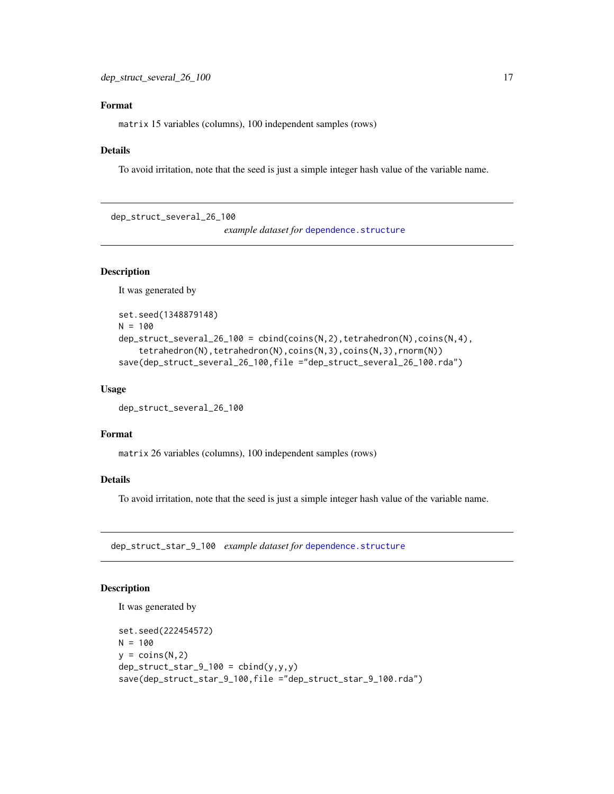# <span id="page-16-0"></span>Format

matrix 15 variables (columns), 100 independent samples (rows)

#### Details

To avoid irritation, note that the seed is just a simple integer hash value of the variable name.

<span id="page-16-1"></span>dep\_struct\_several\_26\_100

*example dataset for [dependence.structure](#page-11-1)* 

#### Description

It was generated by

```
set.seed(1348879148)
N = 100dep_struct_several_26_100 = cbind(coins(N,2), tetrahedron(N), coins(N,4),
    tetrahedron(N),tetrahedron(N),coins(N,3),coins(N,3),rnorm(N))
save(dep_struct_several_26_100,file ="dep_struct_several_26_100.rda")
```
#### Usage

```
dep_struct_several_26_100
```
#### Format

matrix 26 variables (columns), 100 independent samples (rows)

# Details

To avoid irritation, note that the seed is just a simple integer hash value of the variable name.

<span id="page-16-2"></span>dep\_struct\_star\_9\_100 *example dataset for* [dependence.structure](#page-11-1)

# Description

It was generated by

```
set.seed(222454572)
N = 100y = \text{coins}(N, 2)dep\_struct\_star_9_100 = chind(y,y,y)save(dep_struct_star_9_100,file ="dep_struct_star_9_100.rda")
```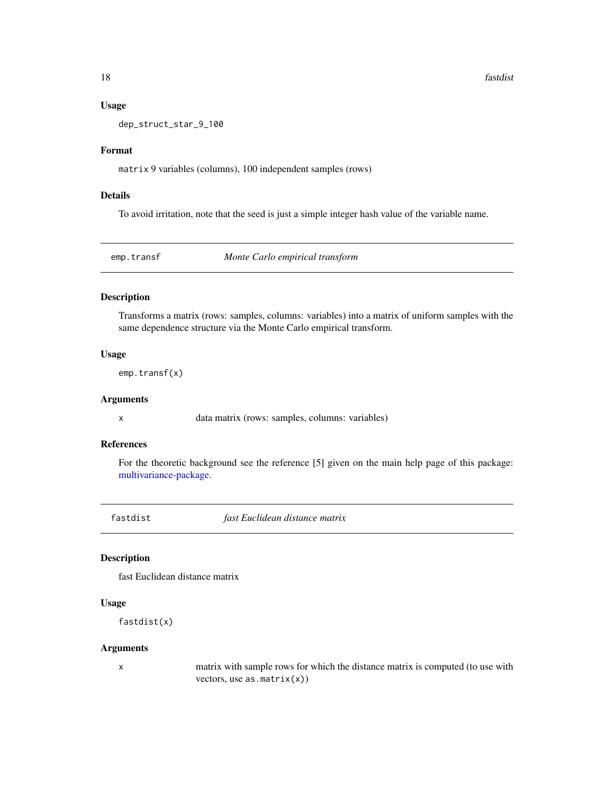18 fastdist

#### Usage

dep\_struct\_star\_9\_100

#### Format

matrix 9 variables (columns), 100 independent samples (rows)

#### Details

To avoid irritation, note that the seed is just a simple integer hash value of the variable name.

<span id="page-17-1"></span>emp.transf *Monte Carlo empirical transform*

# Description

Transforms a matrix (rows: samples, columns: variables) into a matrix of uniform samples with the same dependence structure via the Monte Carlo empirical transform.

#### Usage

emp.transf(x)

#### Arguments

x data matrix (rows: samples, columns: variables)

#### References

For the theoretic background see the reference [5] given on the main help page of this package: [multivariance-package.](#page-2-1)

fastdist *fast Euclidean distance matrix*

# Description

fast Euclidean distance matrix

#### Usage

fastdist(x)

#### Arguments

x matrix with sample rows for which the distance matrix is computed (to use with vectors, use  $as.matrix(x))$ 

<span id="page-17-0"></span>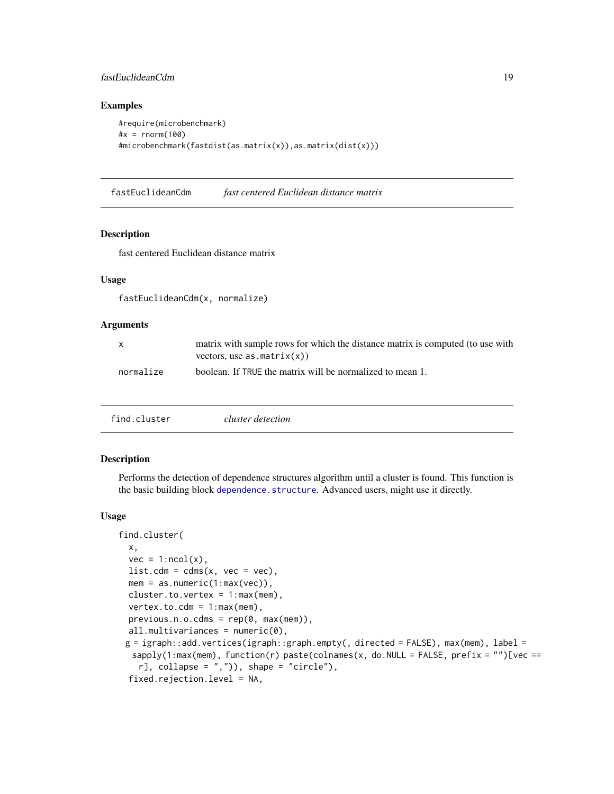# <span id="page-18-0"></span>fastEuclideanCdm 19

#### Examples

```
#require(microbenchmark)
#x = rnorm(100)#microbenchmark(fastdist(as.matrix(x)),as.matrix(dist(x)))
```
fastEuclideanCdm *fast centered Euclidean distance matrix*

#### Description

fast centered Euclidean distance matrix

## Usage

fastEuclideanCdm(x, normalize)

# Arguments

| $\mathsf{x}$ | matrix with sample rows for which the distance matrix is computed (to use with<br>vectors, use $as.matrix(x))$ |
|--------------|----------------------------------------------------------------------------------------------------------------|
| normalize    | boolean. If TRUE the matrix will be normalized to mean 1.                                                      |

<span id="page-18-1"></span>

|--|--|

## Description

Performs the detection of dependence structures algorithm until a cluster is found. This function is the basic building block [dependence.structure](#page-11-1). Advanced users, might use it directly.

#### Usage

```
find.cluster(
 x,
  vec = 1:ncol(x),
 list.cdm = cdms(x, vec = vec),mem = as.numeric(1:max(vec)),
 cluster.to.vertex = 1:max(mem),
 vertex.to.cdm = 1:max(mem),
 previous.n.o.cdms = rep(0, max(mem)),all.multivariances = numeric(0),
 g = igraph::add.vertices(igraph::graph.empty(, directed = FALSE), max(mem), label =
  sapply(1:max(mem)), function(r) paste(colnames(x, do.NULL = FALSE, prefix = "")[vec ==
    r], collapse = ",")), shape = "circle"),
  fixed.rejection.level = NA,
```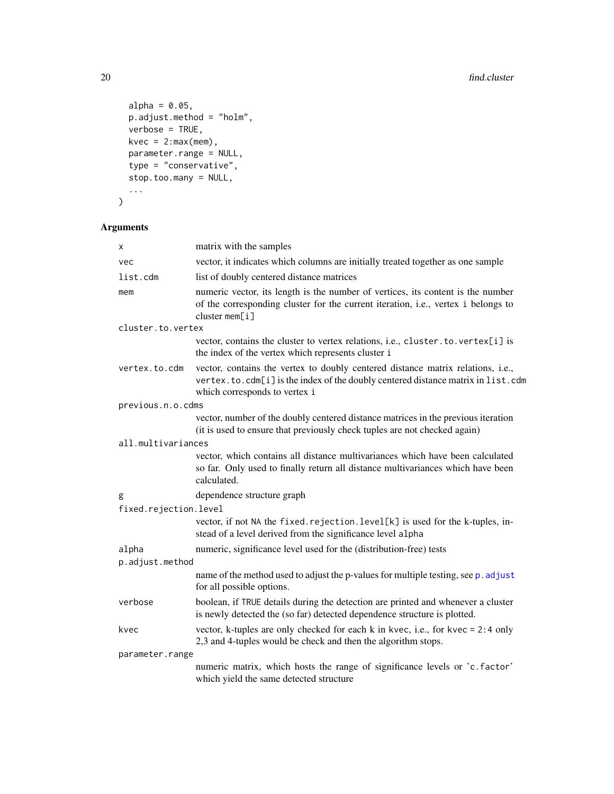```
alpha = 0.05,
 p.adjust.method = "holm",
 verbose = TRUE,
 kvec = 2:max(mem),
 parameter.range = NULL,
 type = "conservative",
 stop.too.many = NULL,
  ...
\mathcal{L}
```

| x                     | matrix with the samples                                                                                                                                                                              |
|-----------------------|------------------------------------------------------------------------------------------------------------------------------------------------------------------------------------------------------|
| vec                   | vector, it indicates which columns are initially treated together as one sample                                                                                                                      |
| list.cdm              | list of doubly centered distance matrices                                                                                                                                                            |
| mem                   | numeric vector, its length is the number of vertices, its content is the number<br>of the corresponding cluster for the current iteration, i.e., vertex i belongs to<br>cluster $mem[i]$             |
| cluster.to.vertex     |                                                                                                                                                                                                      |
|                       | vector, contains the cluster to vertex relations, i.e., cluster.to.vertex[i] is<br>the index of the vertex which represents cluster i                                                                |
| vertex.to.cdm         | vector, contains the vertex to doubly centered distance matrix relations, i.e.,<br>vertex.to.cdm[i] is the index of the doubly centered distance matrix in list.cdm<br>which corresponds to vertex i |
| previous.n.o.cdms     |                                                                                                                                                                                                      |
|                       | vector, number of the doubly centered distance matrices in the previous iteration<br>(it is used to ensure that previously check tuples are not checked again)                                       |
| all.multivariances    |                                                                                                                                                                                                      |
|                       | vector, which contains all distance multivariances which have been calculated<br>so far. Only used to finally return all distance multivariances which have been<br>calculated.                      |
| g                     | dependence structure graph                                                                                                                                                                           |
| fixed.rejection.level |                                                                                                                                                                                                      |
|                       | vector, if not NA the fixed. rejection. level[k] is used for the k-tuples, in-<br>stead of a level derived from the significance level alpha                                                         |
| alpha                 | numeric, significance level used for the (distribution-free) tests                                                                                                                                   |
| p.adjust.method       |                                                                                                                                                                                                      |
|                       | name of the method used to adjust the p-values for multiple testing, see p. adjust<br>for all possible options.                                                                                      |
| verbose               | boolean, if TRUE details during the detection are printed and whenever a cluster<br>is newly detected the (so far) detected dependence structure is plotted.                                         |
| kvec                  | vector, k-tuples are only checked for each $k$ in kvec, i.e., for kvec = 2:4 only<br>2,3 and 4-tuples would be check and then the algorithm stops.                                                   |
| parameter.range       |                                                                                                                                                                                                      |
|                       | numeric matrix, which hosts the range of significance levels or 'c.factor'<br>which yield the same detected structure                                                                                |

<span id="page-19-0"></span>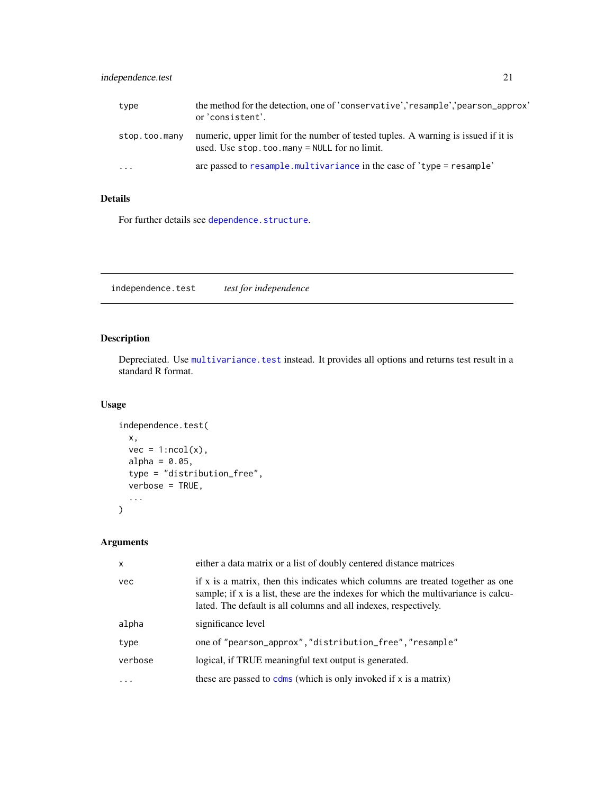# <span id="page-20-0"></span>independence.test 21

| type          | the method for the detection, one of 'conservative','resample','pearson_approx'<br>or 'consistent'.                                 |
|---------------|-------------------------------------------------------------------------------------------------------------------------------------|
| stop.too.many | numeric, upper limit for the number of tested tuples. A warning is issued if it is<br>used. Use $stop.too.max = NULL$ for no limit. |
| $\cdots$      | are passed to resample, multivariance in the case of 'type = resample'                                                              |

# Details

For further details see [dependence.structure](#page-11-1).

independence.test *test for independence*

# Description

Depreciated. Use [multivariance.test](#page-28-1) instead. It provides all options and returns test result in a standard R format.

# Usage

```
independence.test(
  x,
  vec = 1:ncol(x),
  alpha = 0.05,
  type = "distribution_free",
  verbose = TRUE,
  ...
)
```

| $\mathsf{x}$ | either a data matrix or a list of doubly centered distance matrices                                                                                                                                                                        |
|--------------|--------------------------------------------------------------------------------------------------------------------------------------------------------------------------------------------------------------------------------------------|
| vec          | if x is a matrix, then this indicates which columns are treated together as one<br>sample; if x is a list, these are the indexes for which the multivariance is calcu-<br>lated. The default is all columns and all indexes, respectively. |
| alpha        | significance level                                                                                                                                                                                                                         |
| type         | one of "pearson_approx", "distribution_free", "resample"                                                                                                                                                                                   |
| verbose      | logical, if TRUE meaningful text output is generated.                                                                                                                                                                                      |
| .            | these are passed to $cdms$ (which is only invoked if $x$ is a matrix)                                                                                                                                                                      |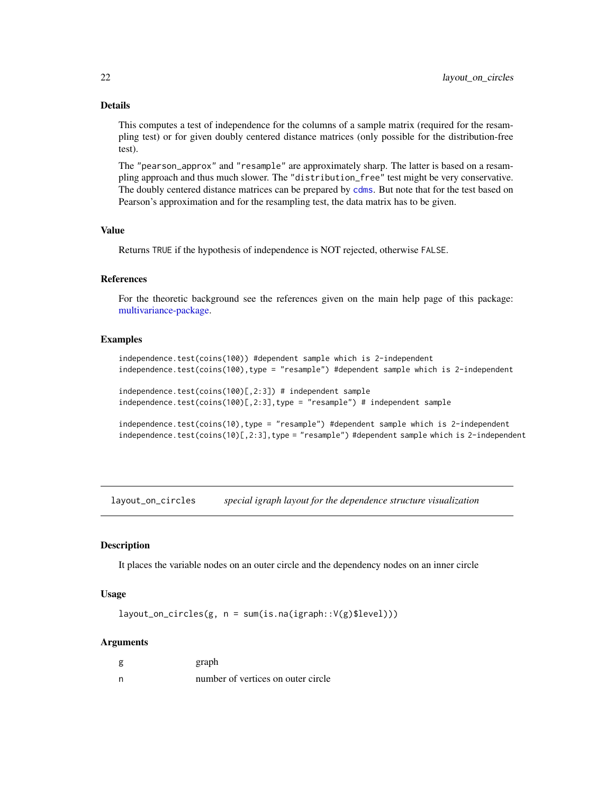# Details

This computes a test of independence for the columns of a sample matrix (required for the resampling test) or for given doubly centered distance matrices (only possible for the distribution-free test).

The "pearson\_approx" and "resample" are approximately sharp. The latter is based on a resampling approach and thus much slower. The "distribution\_free" test might be very conservative. The doubly centered distance matrices can be prepared by [cdms](#page-6-1). But note that for the test based on Pearson's approximation and for the resampling test, the data matrix has to be given.

# Value

Returns TRUE if the hypothesis of independence is NOT rejected, otherwise FALSE.

#### References

For the theoretic background see the references given on the main help page of this package: [multivariance-package.](#page-2-1)

#### Examples

```
independence.test(coins(100)) #dependent sample which is 2-independent
independence.test(coins(100),type = "resample") #dependent sample which is 2-independent
independence.test(coins(100)[,2:3]) # independent sample
independence.test(coins(100)[,2:3],type = "resample") # independent sample
```

```
independence.test(coins(10),type = "resample") #dependent sample which is 2-independent
independence.test(coins(10)[,2:3],type = "resample") #dependent sample which is 2-independent
```
layout\_on\_circles *special igraph layout for the dependence structure visualization*

# **Description**

It places the variable nodes on an outer circle and the dependency nodes on an inner circle

#### Usage

 $l$ ayout\_on\_circles(g,  $n = sum(is.na(igraph::V(g)\$level)))$ 

|   | graph                              |
|---|------------------------------------|
| n | number of vertices on outer circle |

<span id="page-21-0"></span>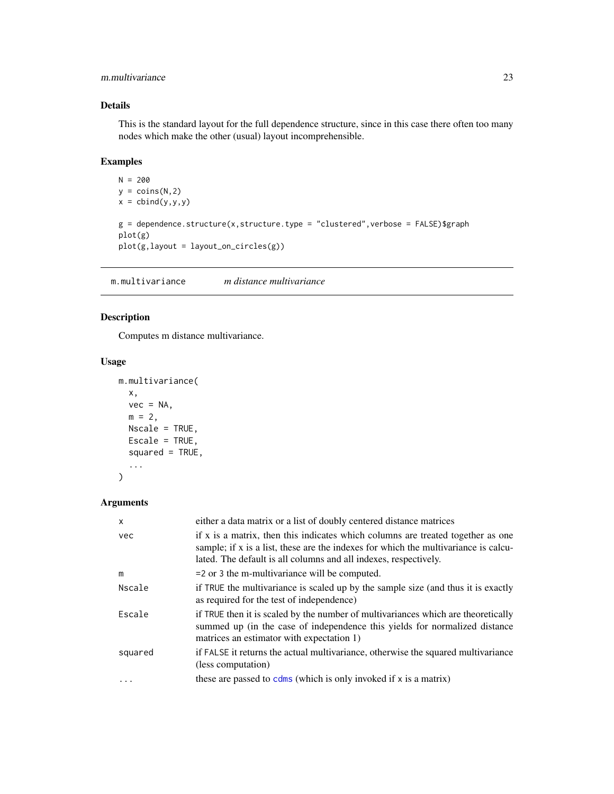# <span id="page-22-0"></span>m.multivariance 23

# Details

This is the standard layout for the full dependence structure, since in this case there often too many nodes which make the other (usual) layout incomprehensible.

# Examples

```
N = 200y = \text{coins}(N, 2)x = \text{cbind}(y, y, y)g = dependence.structure(x,structure.type = "clustered", verbose = FALSE)$graph
plot(g)
plot(g,layout = layout_on_circles(g))
```
<span id="page-22-1"></span>m.multivariance *m distance multivariance*

# Description

Computes m distance multivariance.

#### Usage

```
m.multivariance(
  x,
  vec = NA,
  m = 2,
  Nscale = TRUE,
  Escale = TRUE,
  squared = TRUE,
  ...
\mathcal{L}
```

| $\mathsf{x}$ | either a data matrix or a list of doubly centered distance matrices                                                                                                                                                                        |
|--------------|--------------------------------------------------------------------------------------------------------------------------------------------------------------------------------------------------------------------------------------------|
| vec          | if x is a matrix, then this indicates which columns are treated together as one<br>sample; if x is a list, these are the indexes for which the multivariance is calcu-<br>lated. The default is all columns and all indexes, respectively. |
| m            | $=$ 2 or 3 the m-multivariance will be computed.                                                                                                                                                                                           |
| Nscale       | if TRUE the multivariance is scaled up by the sample size (and thus it is exactly<br>as required for the test of independence)                                                                                                             |
| Escale       | if TRUE then it is scaled by the number of multivariances which are theoretically<br>summed up (in the case of independence this yields for normalized distance<br>matrices an estimator with expectation 1)                               |
| squared      | if FALSE it returns the actual multivariance, otherwise the squared multivariance<br>(less computation)                                                                                                                                    |
| $\ddots$     | these are passed to $cdms$ (which is only invoked if x is a matrix)                                                                                                                                                                        |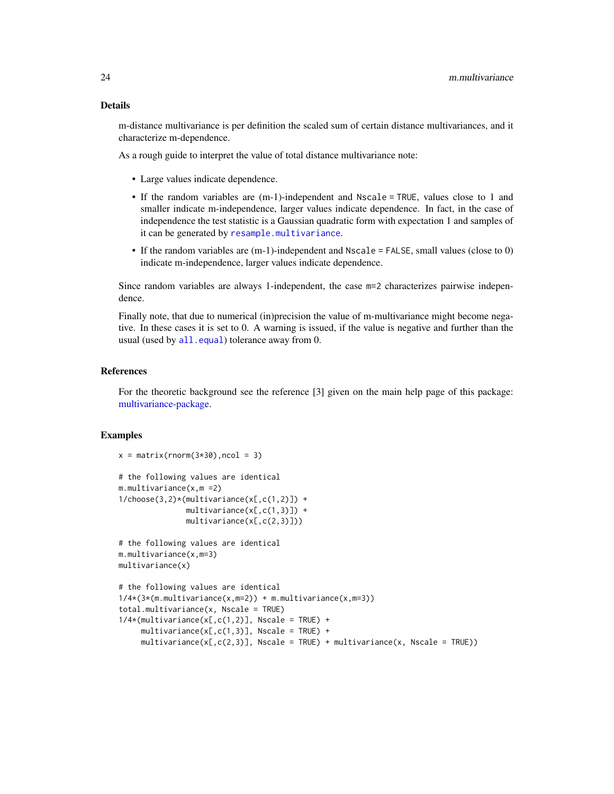#### <span id="page-23-0"></span>Details

m-distance multivariance is per definition the scaled sum of certain distance multivariances, and it characterize m-dependence.

As a rough guide to interpret the value of total distance multivariance note:

• Large values indicate dependence.

 $x = matrix(rnorm(3*30),ncol = 3)$ 

- If the random variables are (m-1)-independent and Nscale = TRUE, values close to 1 and smaller indicate m-independence, larger values indicate dependence. In fact, in the case of independence the test statistic is a Gaussian quadratic form with expectation 1 and samples of it can be generated by [resample.multivariance](#page-35-1).
- If the random variables are (m-1)-independent and Nscale = FALSE, small values (close to 0) indicate m-independence, larger values indicate dependence.

Since random variables are always 1-independent, the case m=2 characterizes pairwise independence.

Finally note, that due to numerical (in)precision the value of m-multivariance might become negative. In these cases it is set to 0. A warning is issued, if the value is negative and further than the usual (used by [all.equal](#page-0-0)) tolerance away from 0.

# References

For the theoretic background see the reference [3] given on the main help page of this package: [multivariance-package.](#page-2-1)

#### Examples

```
# the following values are identical
m.multivariance(x,m =2)
1/choose(3,2)*(multivariance(x[,c(1,2)]) +
               multivariance(x[,c(1,3)]) +
               multivariance(x[,c(2,3)]))
# the following values are identical
m.multivariance(x,m=3)
multivariance(x)
# the following values are identical
1/4*(3*(m.multipariance(x,m=2)) + m.multipariance(x,m=3))total.multivariance(x, Nscale = TRUE)
1/4*(multivariance(x[,c(1,2)], Nscale = TRUE) +
     multipartance(x[,c(1,3)], Nscale = TRUE) +
     multiplication c(x[, c(2,3)], Nscale = TRUE) + multivariance(x, Nscale = TRUE))
```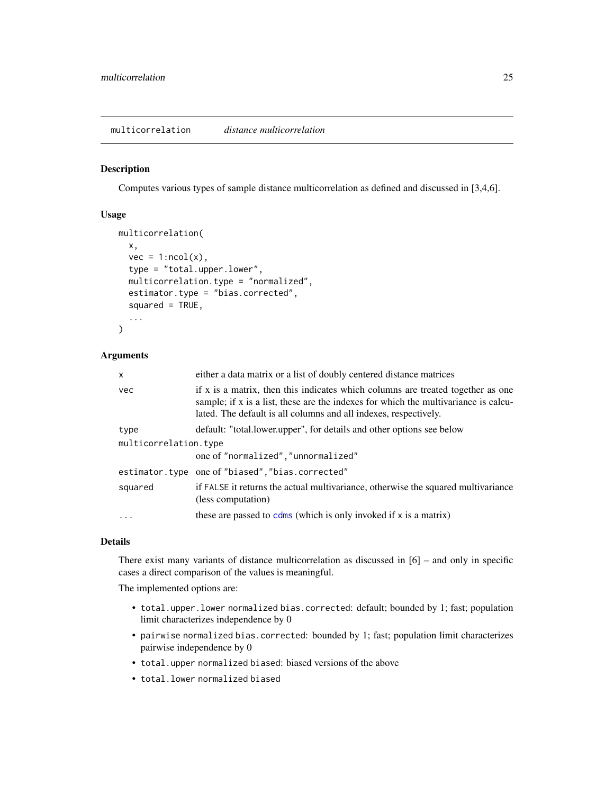#### <span id="page-24-1"></span><span id="page-24-0"></span>Description

Computes various types of sample distance multicorrelation as defined and discussed in [3,4,6].

#### Usage

```
multicorrelation(
  x,
  vec = 1:ncol(x),
  type = "total.upper.lower",
  multicorrelation.type = "normalized",
  estimator.type = "bias.corrected",
  squared = TRUE,
  ...
)
```
#### Arguments

| x                     | either a data matrix or a list of doubly centered distance matrices                                                                                                                                                                        |
|-----------------------|--------------------------------------------------------------------------------------------------------------------------------------------------------------------------------------------------------------------------------------------|
| vec                   | if x is a matrix, then this indicates which columns are treated together as one<br>sample; if x is a list, these are the indexes for which the multivariance is calcu-<br>lated. The default is all columns and all indexes, respectively. |
| type                  | default: "total.lower.upper", for details and other options see below                                                                                                                                                                      |
| multicorrelation.type |                                                                                                                                                                                                                                            |
|                       | one of "normalized", "unnormalized"                                                                                                                                                                                                        |
|                       | estimator.type one of "biased", "bias.corrected"                                                                                                                                                                                           |
| squared               | if FALSE it returns the actual multivariance, otherwise the squared multivariance<br>(less computation)                                                                                                                                    |
| $\ddots$ .            | these are passed to $cdms$ (which is only invoked if x is a matrix)                                                                                                                                                                        |

#### Details

There exist many variants of distance multicorrelation as discussed in  $[6]$  – and only in specific cases a direct comparison of the values is meaningful.

The implemented options are:

- total.upper.lower normalized bias.corrected: default; bounded by 1; fast; population limit characterizes independence by 0
- pairwise normalized bias.corrected: bounded by 1; fast; population limit characterizes pairwise independence by 0
- total.upper normalized biased: biased versions of the above
- total.lower normalized biased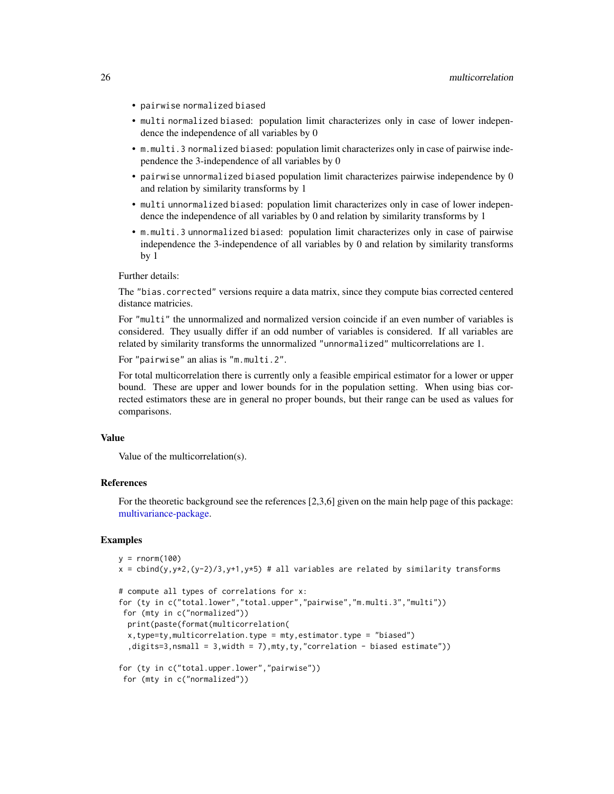- <span id="page-25-0"></span>• pairwise normalized biased
- multi normalized biased: population limit characterizes only in case of lower independence the independence of all variables by 0
- m.multi.3 normalized biased: population limit characterizes only in case of pairwise independence the 3-independence of all variables by 0
- pairwise unnormalized biased population limit characterizes pairwise independence by 0 and relation by similarity transforms by 1
- multi unnormalized biased: population limit characterizes only in case of lower independence the independence of all variables by 0 and relation by similarity transforms by 1
- m.multi.3 unnormalized biased: population limit characterizes only in case of pairwise independence the 3-independence of all variables by 0 and relation by similarity transforms by 1

Further details:

The "bias.corrected" versions require a data matrix, since they compute bias corrected centered distance matricies.

For "multi" the unnormalized and normalized version coincide if an even number of variables is considered. They usually differ if an odd number of variables is considered. If all variables are related by similarity transforms the unnormalized "unnormalized" multicorrelations are 1.

For "pairwise" an alias is "m.multi.2".

For total multicorrelation there is currently only a feasible empirical estimator for a lower or upper bound. These are upper and lower bounds for in the population setting. When using bias corrected estimators these are in general no proper bounds, but their range can be used as values for comparisons.

#### Value

Value of the multicorrelation(s).

#### References

For the theoretic background see the references [2,3,6] given on the main help page of this package: [multivariance-package.](#page-2-1)

#### Examples

```
y = rnorm(100)x = \text{cbind}(y, y \star 2, (y-2)/3, y+1, y \star 5) # all variables are related by similarity transforms
```

```
# compute all types of correlations for x:
for (ty in c("total.lower","total.upper","pairwise","m.multi.3","multi"))
for (mty in c("normalized"))
 print(paste(format(multicorrelation(
 x,type=ty,multicorrelation.type = mty,estimator.type = "biased")
  ,digits=3,nsmall = 3,width = 7),mty,ty,"correlation - biased estimate"))
for (ty in c("total.upper.lower","pairwise"))
```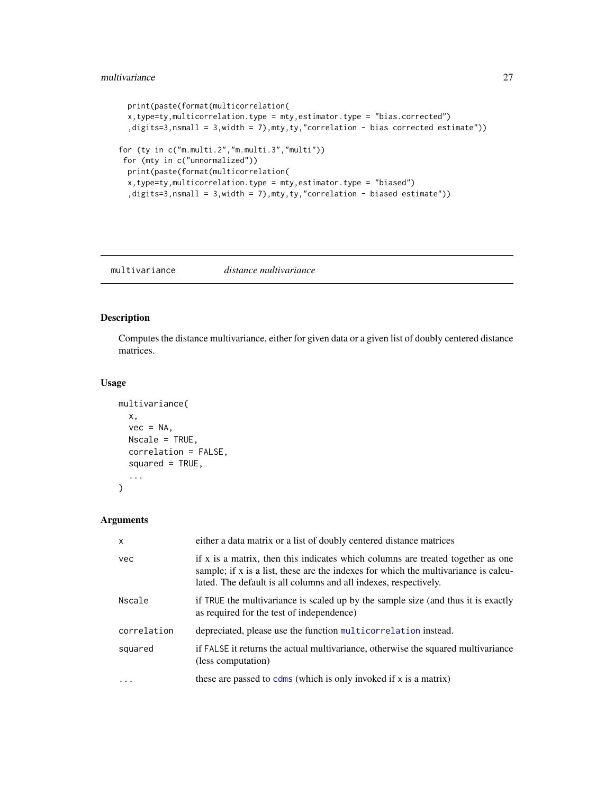```
print(paste(format(multicorrelation(
 x,type=ty,multicorrelation.type = mty,estimator.type = "bias.corrected")
  ,digits=3,nsmall = 3,width = 7),mty,ty,"correlation - bias corrected estimate"))
for (ty in c("m.multi.2","m.multi.3","multi"))
for (mty in c("unnormalized"))
 print(paste(format(multicorrelation(
 x,type=ty,multicorrelation.type = mty,estimator.type = "biased")
 ,digits=3,nsmall = 3,width = 7),mty,ty,"correlation - biased estimate"))
```
<span id="page-26-1"></span>multivariance *distance multivariance*

#### Description

Computes the distance multivariance, either for given data or a given list of doubly centered distance matrices.

#### Usage

```
multivariance(
  x,
  vec = NA,
 Nscale = TRUE,
  correlation = FALSE,
  squared = TRUE,
  ...
)
```

| $\mathsf{x}$ | either a data matrix or a list of doubly centered distance matrices                                                                                                                                                                        |
|--------------|--------------------------------------------------------------------------------------------------------------------------------------------------------------------------------------------------------------------------------------------|
| vec          | if x is a matrix, then this indicates which columns are treated together as one<br>sample; if x is a list, these are the indexes for which the multivariance is calcu-<br>lated. The default is all columns and all indexes, respectively. |
| Nscale       | if TRUE the multivariance is scaled up by the sample size (and thus it is exactly<br>as required for the test of independence)                                                                                                             |
| correlation  | depreciated, please use the function multicorrelation instead.                                                                                                                                                                             |
| squared      | if FALSE it returns the actual multivariance, otherwise the squared multivariance<br>(less computation)                                                                                                                                    |
| .            | these are passed to $cdms$ (which is only invoked if x is a matrix)                                                                                                                                                                        |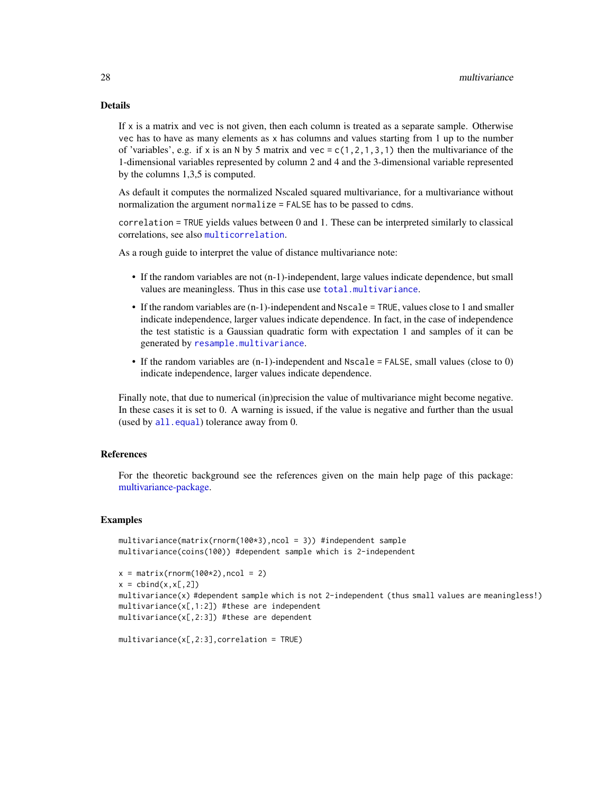# <span id="page-27-0"></span>Details

If  $x$  is a matrix and vec is not given, then each column is treated as a separate sample. Otherwise vec has to have as many elements as  $x$  has columns and values starting from 1 up to the number of 'variables', e.g. if x is an N by 5 matrix and vec =  $c(1,2,1,3,1)$  then the multivariance of the 1-dimensional variables represented by column 2 and 4 and the 3-dimensional variable represented by the columns 1,3,5 is computed.

As default it computes the normalized Nscaled squared multivariance, for a multivariance without normalization the argument normalize = FALSE has to be passed to cdms.

correlation = TRUE yields values between 0 and 1. These can be interpreted similarly to classical correlations, see also [multicorrelation](#page-24-1).

As a rough guide to interpret the value of distance multivariance note:

- If the random variables are not (n-1)-independent, large values indicate dependence, but small values are meaningless. Thus in this case use [total.multivariance](#page-39-1).
- If the random variables are (n-1)-independent and Nscale = TRUE, values close to 1 and smaller indicate independence, larger values indicate dependence. In fact, in the case of independence the test statistic is a Gaussian quadratic form with expectation 1 and samples of it can be generated by [resample.multivariance](#page-35-1).
- If the random variables are (n-1)-independent and Nscale = FALSE, small values (close to 0) indicate independence, larger values indicate dependence.

Finally note, that due to numerical (in)precision the value of multivariance might become negative. In these cases it is set to 0. A warning is issued, if the value is negative and further than the usual (used by [all.equal](#page-0-0)) tolerance away from 0.

#### References

For the theoretic background see the references given on the main help page of this package: [multivariance-package.](#page-2-1)

#### Examples

```
multivariance(matrix(rnorm(100*3),ncol = 3)) #independent sample
multivariance(coins(100)) #dependent sample which is 2-independent
x = matrix(rnorm(100*2), ncol = 2)x = \text{cbind}(x, x[, 2])multivariance(x) #dependent sample which is not 2-independent (thus small values are meaningless!)
multivariance(x[,1:2]) #these are independent
multivariance(x[,2:3]) #these are dependent
```

```
multivariance(x[,2:3],correlation = TRUE)
```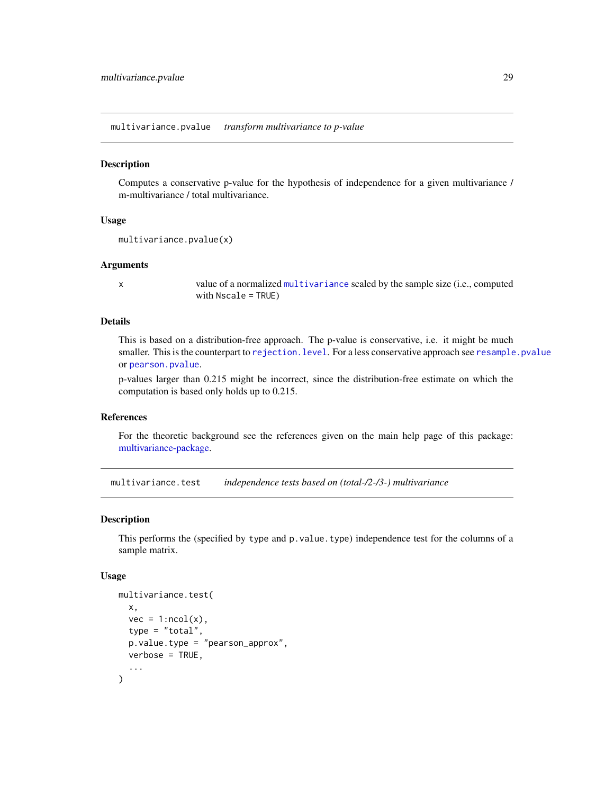<span id="page-28-2"></span><span id="page-28-0"></span>multivariance.pvalue *transform multivariance to p-value*

#### Description

Computes a conservative p-value for the hypothesis of independence for a given multivariance / m-multivariance / total multivariance.

# Usage

```
multivariance.pvalue(x)
```
#### Arguments

x value of a normalized [multivariance](#page-26-1) scaled by the sample size (i.e., computed with Nscale = TRUE)

# Details

This is based on a distribution-free approach. The p-value is conservative, i.e. it might be much smaller. This is the counterpart to rejection. level. For a less conservative approach see [resample.pvalue](#page-36-1) or [pearson.pvalue](#page-32-1).

p-values larger than 0.215 might be incorrect, since the distribution-free estimate on which the computation is based only holds up to 0.215.

#### References

For the theoretic background see the references given on the main help page of this package: [multivariance-package.](#page-2-1)

<span id="page-28-1"></span>multivariance.test *independence tests based on (total-/2-/3-) multivariance*

#### Description

This performs the (specified by type and p.value.type) independence test for the columns of a sample matrix.

#### Usage

```
multivariance.test(
  x,
  vec = 1:ncol(x),
  type = "total",
 p.value.type = "pearson_approx",
 verbose = TRUE,
  ...
)
```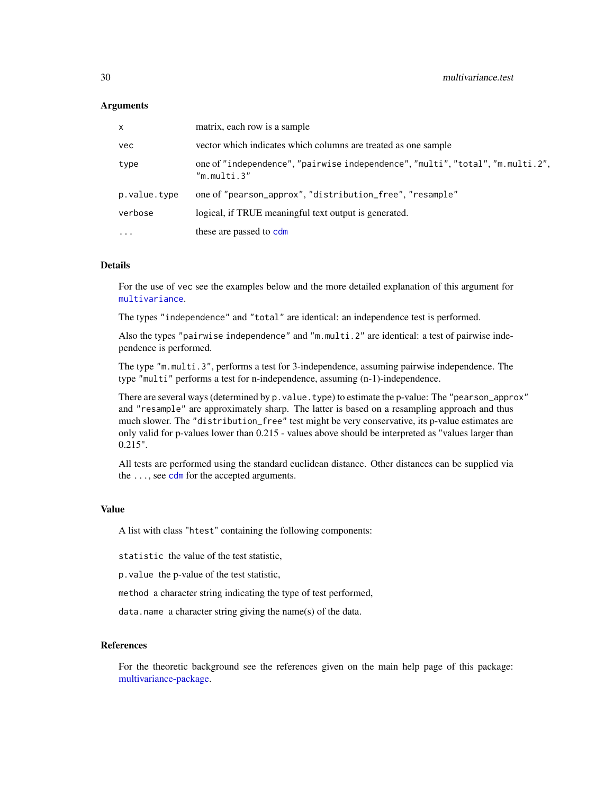#### <span id="page-29-0"></span>Arguments

| x            | matrix, each row is a sample                                                                  |
|--------------|-----------------------------------------------------------------------------------------------|
| vec          | vector which indicates which columns are treated as one sample                                |
| type         | one of "independence", "pairwise independence", "multi", "total", "m.multi.2",<br>"m.multi.3" |
| p.value.type | one of "pearson_approx", "distribution_free", "resample"                                      |
| verbose      | logical, if TRUE meaningful text output is generated.                                         |
| $\cdots$     | these are passed to cdm                                                                       |

#### Details

For the use of vec see the examples below and the more detailed explanation of this argument for [multivariance](#page-26-1).

The types "independence" and "total" are identical: an independence test is performed.

Also the types "pairwise independence" and "m.multi.2" are identical: a test of pairwise independence is performed.

The type "m.multi.3", performs a test for 3-independence, assuming pairwise independence. The type "multi" performs a test for n-independence, assuming (n-1)-independence.

There are several ways (determined by p.value.type) to estimate the p-value: The "pearson\_approx" and "resample" are approximately sharp. The latter is based on a resampling approach and thus much slower. The "distribution\_free" test might be very conservative, its p-value estimates are only valid for p-values lower than 0.215 - values above should be interpreted as "values larger than 0.215".

All tests are performed using the standard euclidean distance. Other distances can be supplied via the  $\ldots$ , see [cdm](#page-5-1) for the accepted arguments.

## Value

A list with class "htest" containing the following components:

statistic the value of the test statistic,

p.value the p-value of the test statistic,

method a character string indicating the type of test performed,

data.name a character string giving the name(s) of the data.

#### References

For the theoretic background see the references given on the main help page of this package: [multivariance-package.](#page-2-1)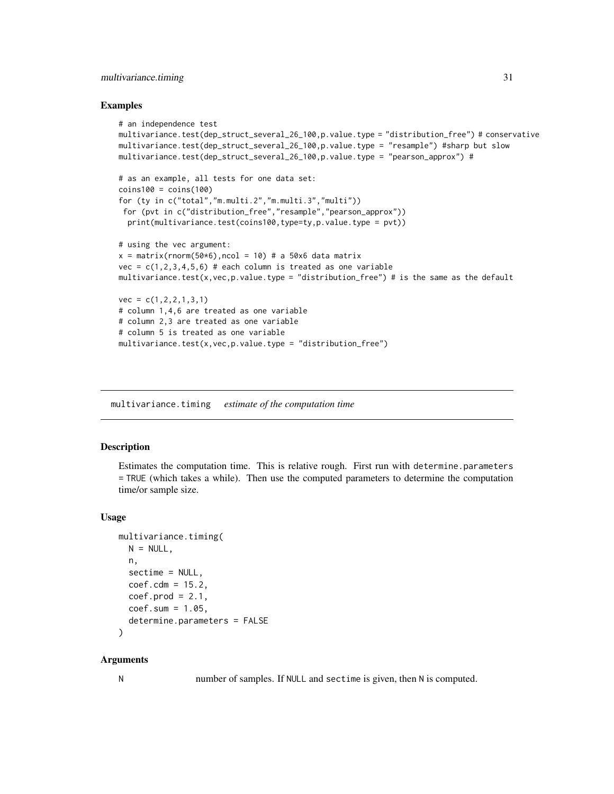# <span id="page-30-0"></span>multivariance.timing 31

#### Examples

```
# an independence test
multivariance.test(dep_struct_several_26_100,p.value.type = "distribution_free") # conservative
multivariance.test(dep_struct_several_26_100,p.value.type = "resample") #sharp but slow
multivariance.test(dep_struct_several_26_100,p.value.type = "pearson_approx") #
# as an example, all tests for one data set:
coins100 = coins(100)for (ty in c("total","m.multi.2","m.multi.3","multi"))
 for (pvt in c("distribution_free","resample","pearson_approx"))
  print(multivariance.test(coins100,type=ty,p.value.type = pvt))
# using the vec argument:
x = matrix(rnorm(50*6),ncol = 10) # a 50x6 data matrix
vec = c(1,2,3,4,5,6) # each column is treated as one variable
multivariance.test(x,vec,p.value.type = "distribution_free") # is the same as the default
vec = c(1, 2, 2, 1, 3, 1)# column 1,4,6 are treated as one variable
# column 2,3 are treated as one variable
# column 5 is treated as one variable
multiputivariate.test(x,vec,p.value.type = "distribution_free")
```
<span id="page-30-1"></span>multivariance.timing *estimate of the computation time*

## Description

Estimates the computation time. This is relative rough. First run with determine.parameters = TRUE (which takes a while). Then use the computed parameters to determine the computation time/or sample size.

#### Usage

```
multivariance.timing(
 N = NULL,n,
  sectime = NULL,
  coef.cdm = 15.2,
  coef.prod = 2.1,
  coef.sum = 1.05,
  determine.parameters = FALSE
)
```
#### Arguments

N number of samples. If NULL and sectime is given, then N is computed.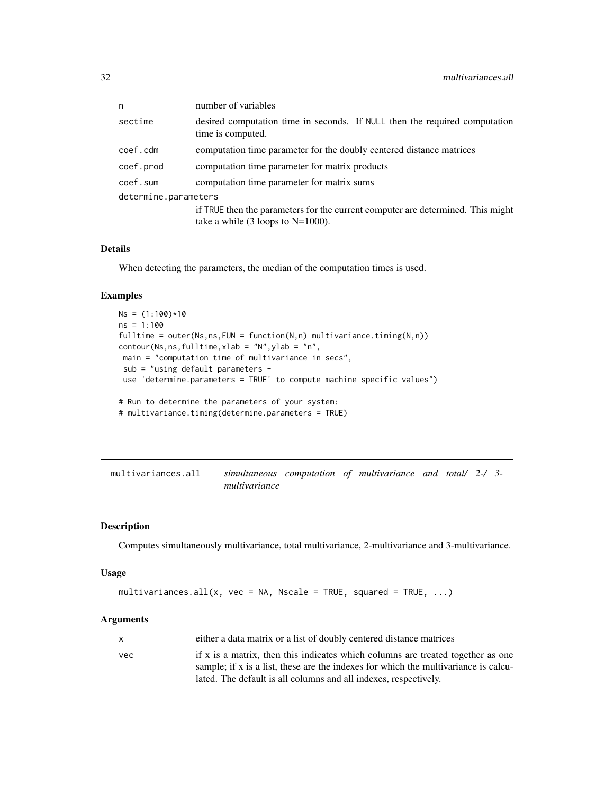<span id="page-31-0"></span>

| n                    | number of variables                                                                                                              |  |
|----------------------|----------------------------------------------------------------------------------------------------------------------------------|--|
| sectime              | desired computation time in seconds. If NULL then the required computation<br>time is computed.                                  |  |
| coef.cdm             | computation time parameter for the doubly centered distance matrices                                                             |  |
| coef.prod            | computation time parameter for matrix products                                                                                   |  |
| coef.sum             | computation time parameter for matrix sums                                                                                       |  |
| determine.parameters |                                                                                                                                  |  |
|                      | if TRUE then the parameters for the current computer are determined. This might<br>take a while $(3 \text{ loops to } N=1000)$ . |  |

### Details

When detecting the parameters, the median of the computation times is used.

#### Examples

```
Ns = (1:100)*10ns = 1:100
fulltime = outer(Ns, ns, FUN = function(N, n) multivariate. timing(N, n))contour(Ns,ns,fulltime,xlab = "N",ylab = "n",
main = "computation time of multivariance in secs",
 sub = "using default parameters -
 use 'determine.parameters = TRUE' to compute machine specific values")
# Run to determine the parameters of your system:
# multivariance.timing(determine.parameters = TRUE)
```
<span id="page-31-1"></span>multivariances.all *simultaneous computation of multivariance and total/ 2-/ 3 multivariance*

#### Description

Computes simultaneously multivariance, total multivariance, 2-multivariance and 3-multivariance.

# Usage

```
multivariances.all(x, vec = NA, Nscale = TRUE, squared = TRUE, \ldots)
```

| x    | either a data matrix or a list of doubly centered distance matrices                 |
|------|-------------------------------------------------------------------------------------|
| vec. | if x is a matrix, then this indicates which columns are treated together as one     |
|      | sample; if x is a list, these are the indexes for which the multivariance is calcu- |
|      | lated. The default is all columns and all indexes, respectively.                    |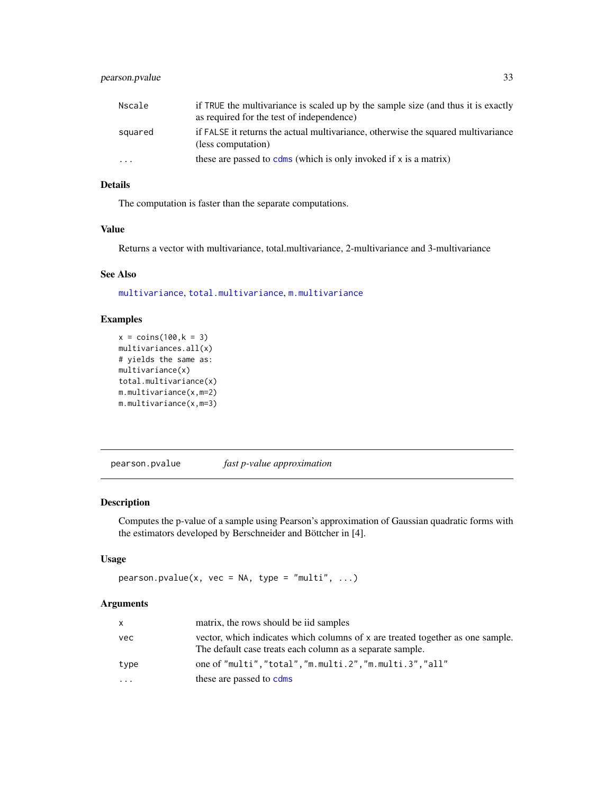# <span id="page-32-0"></span>pearson.pvalue 33

| Nscale  | if TRUE the multivariance is scaled up by the sample size (and thus it is exactly<br>as required for the test of independence) |
|---------|--------------------------------------------------------------------------------------------------------------------------------|
| squared | if FALSE it returns the actual multivariance, otherwise the squared multivariance<br>(less computation)                        |
| $\cdot$ | these are passed to come (which is only invoked if x is a matrix)                                                              |

# Details

The computation is faster than the separate computations.

#### Value

Returns a vector with multivariance, total.multivariance, 2-multivariance and 3-multivariance

#### See Also

[multivariance](#page-26-1), [total.multivariance](#page-39-1), [m.multivariance](#page-22-1)

# Examples

```
x = \text{coins}(100, k = 3)multivariances.all(x)
# yields the same as:
multivariance(x)
total.multivariance(x)
m.multivariance(x,m=2)
m.multivariance(x,m=3)
```
<span id="page-32-1"></span>pearson.pvalue *fast p-value approximation*

# Description

Computes the p-value of a sample using Pearson's approximation of Gaussian quadratic forms with the estimators developed by Berschneider and Böttcher in [4].

# Usage

```
pearson.pvalue(x, vec = NA, type = "multi", \dots)
```

| X    | matrix, the rows should be iid samples                                                                                                      |
|------|---------------------------------------------------------------------------------------------------------------------------------------------|
| vec  | vector, which indicates which columns of x are treated together as one sample.<br>The default case treats each column as a separate sample. |
| type | one of "multi","total","m.multi.2","m.multi.3","all"                                                                                        |
| .    | these are passed to cdms                                                                                                                    |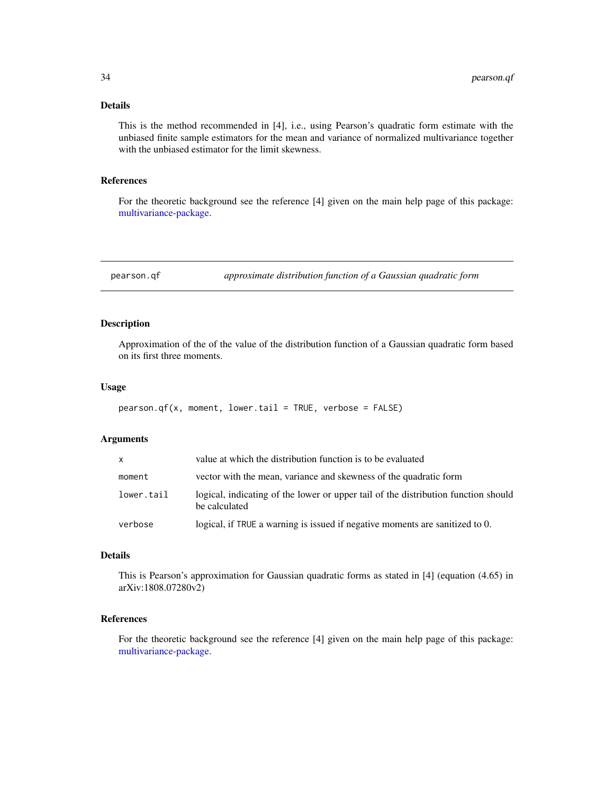# <span id="page-33-0"></span>Details

This is the method recommended in [4], i.e., using Pearson's quadratic form estimate with the unbiased finite sample estimators for the mean and variance of normalized multivariance together with the unbiased estimator for the limit skewness.

## References

For the theoretic background see the reference [4] given on the main help page of this package: [multivariance-package.](#page-2-1)

pearson.qf *approximate distribution function of a Gaussian quadratic form*

# Description

Approximation of the of the value of the distribution function of a Gaussian quadratic form based on its first three moments.

# Usage

```
pearson.qf(x, moment, lower.tail = TRUE, verbose = FALSE)
```
#### Arguments

| <b>X</b>   | value at which the distribution function is to be evaluated                                         |
|------------|-----------------------------------------------------------------------------------------------------|
| moment     | vector with the mean, variance and skewness of the quadratic form                                   |
| lower.tail | logical, indicating of the lower or upper tail of the distribution function should<br>be calculated |
| verbose    | logical, if TRUE a warning is issued if negative moments are sanitized to 0.                        |

#### Details

This is Pearson's approximation for Gaussian quadratic forms as stated in [4] (equation (4.65) in arXiv:1808.07280v2)

# References

For the theoretic background see the reference [4] given on the main help page of this package: [multivariance-package.](#page-2-1)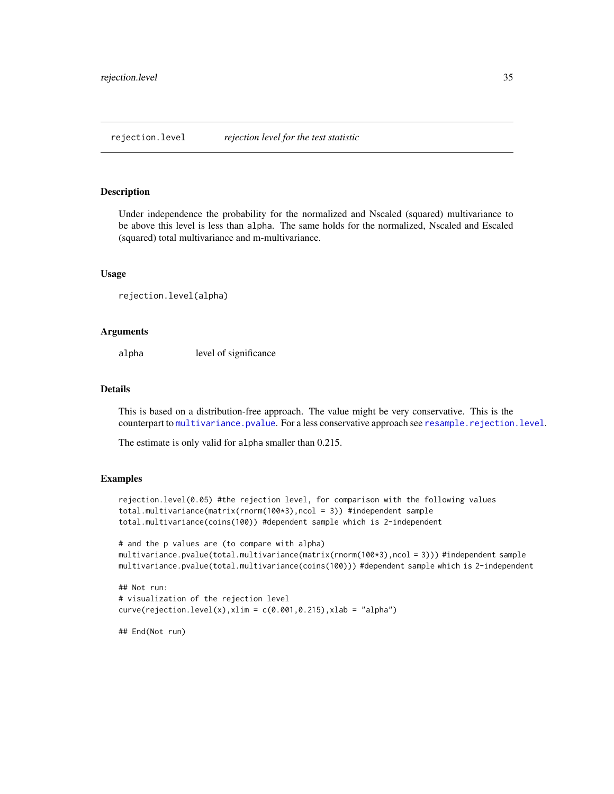<span id="page-34-1"></span><span id="page-34-0"></span>rejection.level *rejection level for the test statistic*

#### Description

Under independence the probability for the normalized and Nscaled (squared) multivariance to be above this level is less than alpha. The same holds for the normalized, Nscaled and Escaled (squared) total multivariance and m-multivariance.

#### Usage

```
rejection.level(alpha)
```
# Arguments

alpha level of significance

#### Details

This is based on a distribution-free approach. The value might be very conservative. This is the counterpart to [multivariance.pvalue](#page-28-2). For a less conservative approach see [resample.rejection.level](#page-37-1).

The estimate is only valid for alpha smaller than 0.215.

#### Examples

```
rejection.level(0.05) #the rejection level, for comparison with the following values
total.multivariance(matrix(rnorm(100*3),ncol = 3)) #independent sample
total.multivariance(coins(100)) #dependent sample which is 2-independent
```

```
# and the p values are (to compare with alpha)
multivariance.pvalue(total.multivariance(matrix(rnorm(100*3),ncol = 3))) #independent sample
multivariance.pvalue(total.multivariance(coins(100))) #dependent sample which is 2-independent
```

```
## Not run:
# visualization of the rejection level
curve(rejection.length(x), xlim = c(0.001, 0.215), xlab = "alpha")
```
## End(Not run)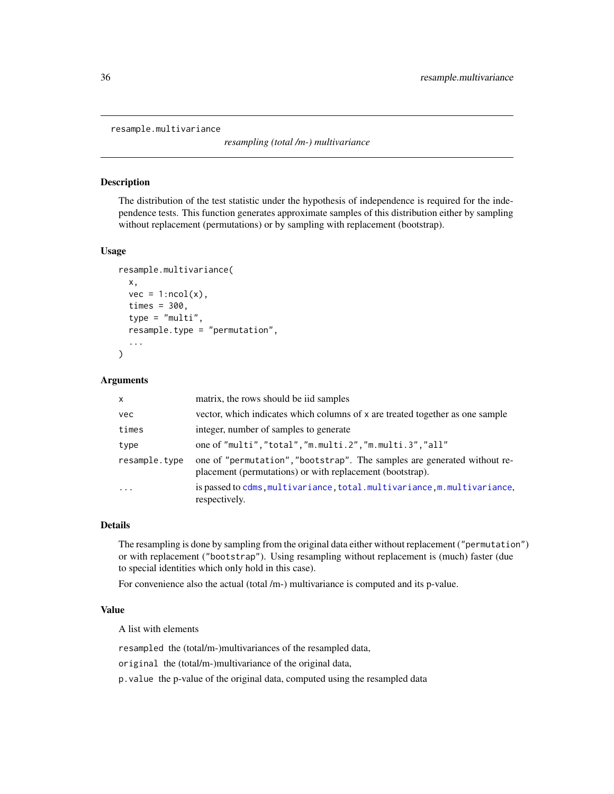<span id="page-35-1"></span><span id="page-35-0"></span>resample.multivariance

*resampling (total /m-) multivariance*

# Description

The distribution of the test statistic under the hypothesis of independence is required for the independence tests. This function generates approximate samples of this distribution either by sampling without replacement (permutations) or by sampling with replacement (bootstrap).

#### Usage

```
resample.multivariance(
  x,
  vec = 1:ncol(x),
  times = 300,
  type = "multi",resample.type = "permutation",
  ...
)
```
#### Arguments

| $\mathsf{x}$  | matrix, the rows should be iid samples                                                                                                |
|---------------|---------------------------------------------------------------------------------------------------------------------------------------|
| vec           | vector, which indicates which columns of x are treated together as one sample                                                         |
| times         | integer, number of samples to generate                                                                                                |
| type          | one of "multi", "total", "m.multi.2", "m.multi.3", "all"                                                                              |
| resample.type | one of "permutation", "bootstrap". The samples are generated without re-<br>placement (permutations) or with replacement (bootstrap). |
| $\cdots$      | is passed to cdms, multivariance, total.multivariance, m. multivariance,<br>respectively.                                             |

#### Details

The resampling is done by sampling from the original data either without replacement ("permutation") or with replacement ("bootstrap"). Using resampling without replacement is (much) faster (due to special identities which only hold in this case).

For convenience also the actual (total /m-) multivariance is computed and its p-value.

#### Value

A list with elements

resampled the (total/m-)multivariances of the resampled data,

original the (total/m-)multivariance of the original data,

p.value the p-value of the original data, computed using the resampled data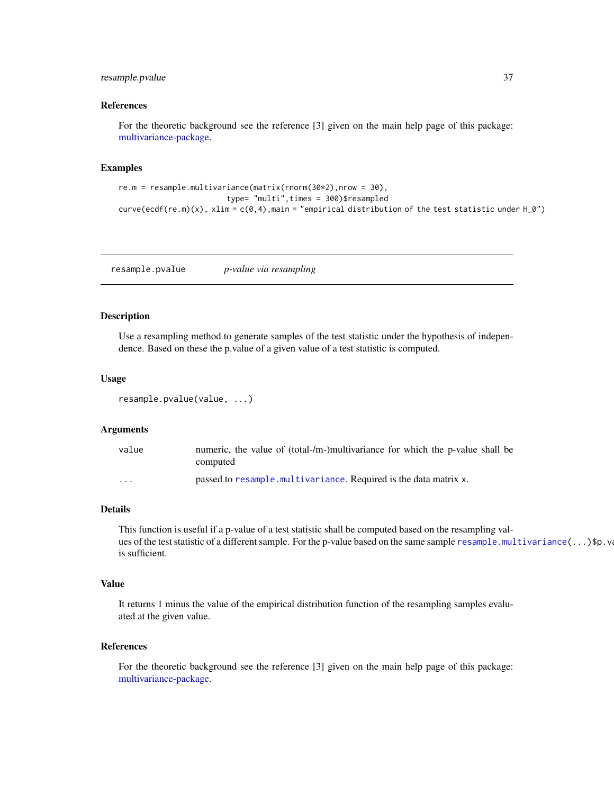# <span id="page-36-0"></span>resample.pvalue 37

#### References

For the theoretic background see the reference [3] given on the main help page of this package: [multivariance-package.](#page-2-1)

#### Examples

```
re.m = resample.multivariance(matrix(rnorm(30*2),nrow = 30),
                        type= "multi",times = 300)$resampled
curve(ecdf(re.m)(x), xlim = c(0,4), main = "empirical distribution of the test statistic under H_0")
```
<span id="page-36-1"></span>resample.pvalue *p-value via resampling*

#### Description

Use a resampling method to generate samples of the test statistic under the hypothesis of independence. Based on these the p.value of a given value of a test statistic is computed.

#### Usage

```
resample.pvalue(value, ...)
```
#### Arguments

| value                   | numeric, the value of (total-/m-)multivariance for which the p-value shall be<br>computed |
|-------------------------|-------------------------------------------------------------------------------------------|
| $\cdot$ $\cdot$ $\cdot$ | passed to resample.multivariance. Required is the data matrix x.                          |

## Details

This function is useful if a p-value of a test statistic shall be computed based on the resampling values of the test statistic of a different sample. For the p-value based on the same sample [resample.multivariance\(](#page-35-1)...)\$p.v is sufficient.

#### Value

It returns 1 minus the value of the empirical distribution function of the resampling samples evaluated at the given value.

## References

For the theoretic background see the reference [3] given on the main help page of this package: [multivariance-package.](#page-2-1)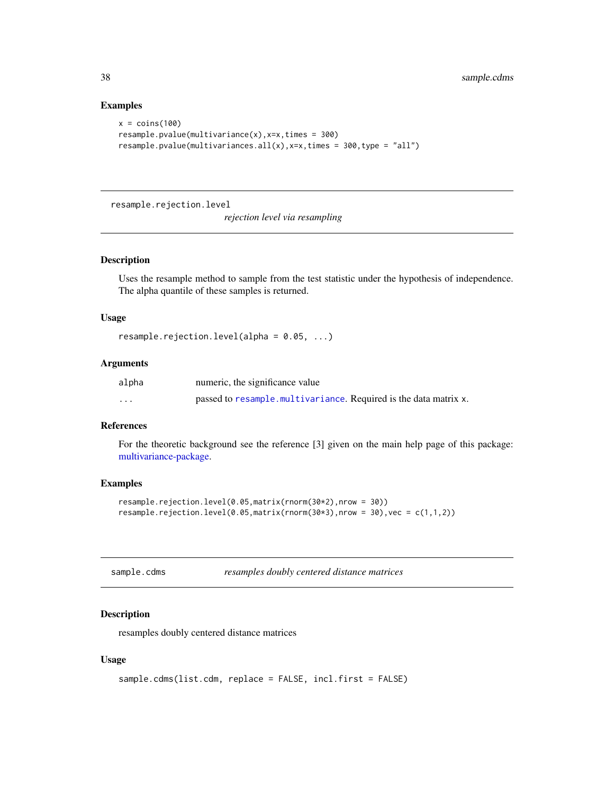#### Examples

```
x = \text{coins}(100)resample.pvalue(multivariance(x),x=x,times = 300)
resample.pvalue(multivariances.all(x), x=x, times = 300, type = "all")
```
<span id="page-37-1"></span>resample.rejection.level

*rejection level via resampling*

# Description

Uses the resample method to sample from the test statistic under the hypothesis of independence. The alpha quantile of these samples is returned.

#### Usage

```
resample.rejection.level(alpha = 0.05, ...)
```
# Arguments

| alpha    | numeric, the significance value                                  |
|----------|------------------------------------------------------------------|
| $\cdots$ | passed to resample.multivariance. Required is the data matrix x. |

# References

For the theoretic background see the reference [3] given on the main help page of this package: [multivariance-package.](#page-2-1)

#### Examples

```
resample.rejection.level(0.05,matrix(rnorm(30*2),nrow = 30))
resample.rejection.level(0.05,matrix(rnorm(30*3),nrow = 30),vec = c(1,1,2))
```

| sample.cdms |  | resamples doubly centered distance matrices |  |
|-------------|--|---------------------------------------------|--|
|-------------|--|---------------------------------------------|--|

#### Description

resamples doubly centered distance matrices

#### Usage

```
sample.cdms(list.cdm, replace = FALSE, incl.first = FALSE)
```
<span id="page-37-0"></span>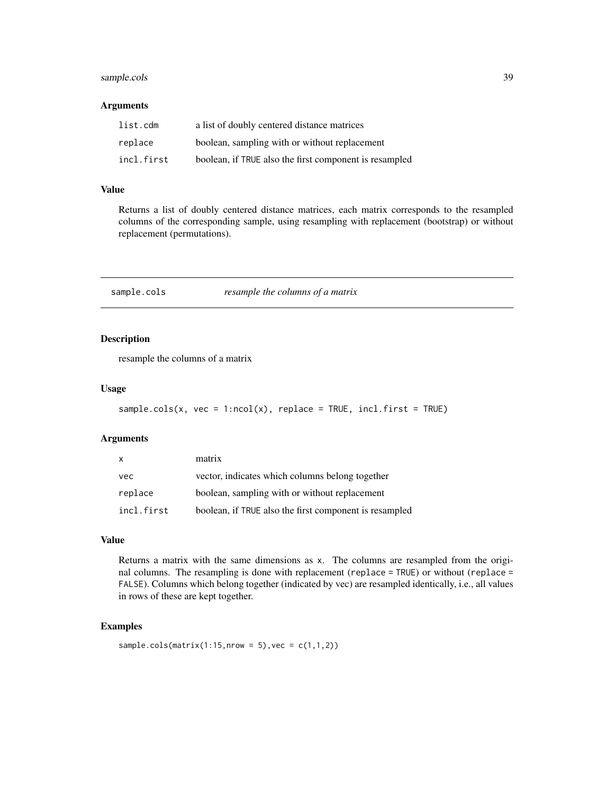# <span id="page-38-0"></span>sample.cols 39

#### Arguments

| list.cdm   | a list of doubly centered distance matrices            |
|------------|--------------------------------------------------------|
| replace    | boolean, sampling with or without replacement          |
| incl.first | boolean, if TRUE also the first component is resampled |

#### Value

Returns a list of doubly centered distance matrices, each matrix corresponds to the resampled columns of the corresponding sample, using resampling with replacement (bootstrap) or without replacement (permutations).

sample.cols *resample the columns of a matrix*

# Description

resample the columns of a matrix

#### Usage

```
sample.cols(x, vec = 1:ncol(x), replace = TRUE, incl.first = TRUE)
```
#### Arguments

| $\mathsf{X}$ | matrix                                                 |
|--------------|--------------------------------------------------------|
| vec          | vector, indicates which columns belong together        |
| replace      | boolean, sampling with or without replacement          |
| incl.first   | boolean, if TRUE also the first component is resampled |

# Value

Returns a matrix with the same dimensions as x. The columns are resampled from the original columns. The resampling is done with replacement (replace = TRUE) or without (replace = FALSE). Columns which belong together (indicated by vec) are resampled identically, i.e., all values in rows of these are kept together.

# Examples

```
sample.cols(matrix(1:15,nrow = 5), vec = c(1,1,2))
```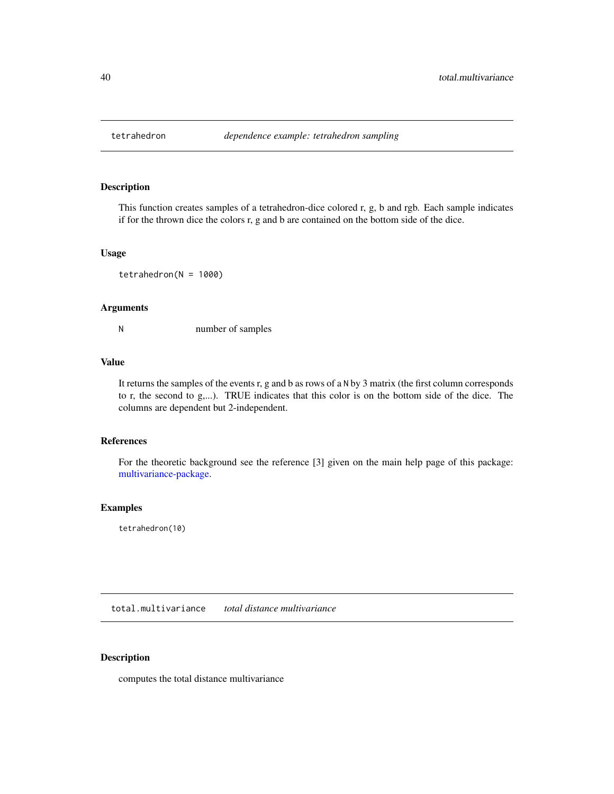<span id="page-39-2"></span><span id="page-39-0"></span>

# Description

This function creates samples of a tetrahedron-dice colored r, g, b and rgb. Each sample indicates if for the thrown dice the colors r, g and b are contained on the bottom side of the dice.

# Usage

 $tetrahedron(N = 1000)$ 

# Arguments

N number of samples

#### Value

It returns the samples of the events r, g and b as rows of a N by 3 matrix (the first column corresponds to r, the second to g,...). TRUE indicates that this color is on the bottom side of the dice. The columns are dependent but 2-independent.

# References

For the theoretic background see the reference [3] given on the main help page of this package: [multivariance-package.](#page-2-1)

# Examples

tetrahedron(10)

<span id="page-39-1"></span>total.multivariance *total distance multivariance*

# Description

computes the total distance multivariance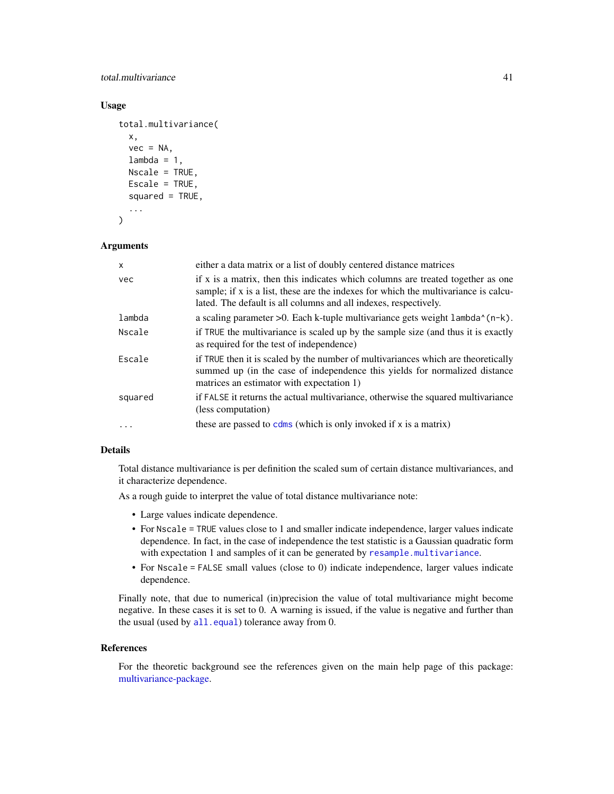<span id="page-40-0"></span>total.multivariance 41

# Usage

```
total.multivariance(
  x,
  vec = NA,
  lambda = 1,
 Nscale = TRUE,
 Escale = TRUE,
  squared = TRUE,
  ...
)
```
#### Arguments

| $\mathsf{x}$ | either a data matrix or a list of doubly centered distance matrices                                                                                                                                                                        |
|--------------|--------------------------------------------------------------------------------------------------------------------------------------------------------------------------------------------------------------------------------------------|
| vec          | if x is a matrix, then this indicates which columns are treated together as one<br>sample; if x is a list, these are the indexes for which the multivariance is calcu-<br>lated. The default is all columns and all indexes, respectively. |
| lambda       | a scaling parameter $>0$ . Each k-tuple multivariance gets weight $lambda^-(n-k)$ .                                                                                                                                                        |
| Nscale       | if TRUE the multivariance is scaled up by the sample size (and thus it is exactly<br>as required for the test of independence)                                                                                                             |
| Escale       | if TRUE then it is scaled by the number of multivariances which are theoretically<br>summed up (in the case of independence this yields for normalized distance<br>matrices an estimator with expectation 1)                               |
| squared      | if FALSE it returns the actual multivariance, otherwise the squared multivariance<br>(less computation)                                                                                                                                    |
| .            | these are passed to colms (which is only invoked if $x$ is a matrix)                                                                                                                                                                       |

#### Details

Total distance multivariance is per definition the scaled sum of certain distance multivariances, and it characterize dependence.

As a rough guide to interpret the value of total distance multivariance note:

- Large values indicate dependence.
- For Nscale = TRUE values close to 1 and smaller indicate independence, larger values indicate dependence. In fact, in the case of independence the test statistic is a Gaussian quadratic form with expectation 1 and samples of it can be generated by [resample.multivariance](#page-35-1).
- For Nscale = FALSE small values (close to 0) indicate independence, larger values indicate dependence.

Finally note, that due to numerical (in)precision the value of total multivariance might become negative. In these cases it is set to 0. A warning is issued, if the value is negative and further than the usual (used by [all.equal](#page-0-0)) tolerance away from 0.

# References

For the theoretic background see the references given on the main help page of this package: [multivariance-package.](#page-2-1)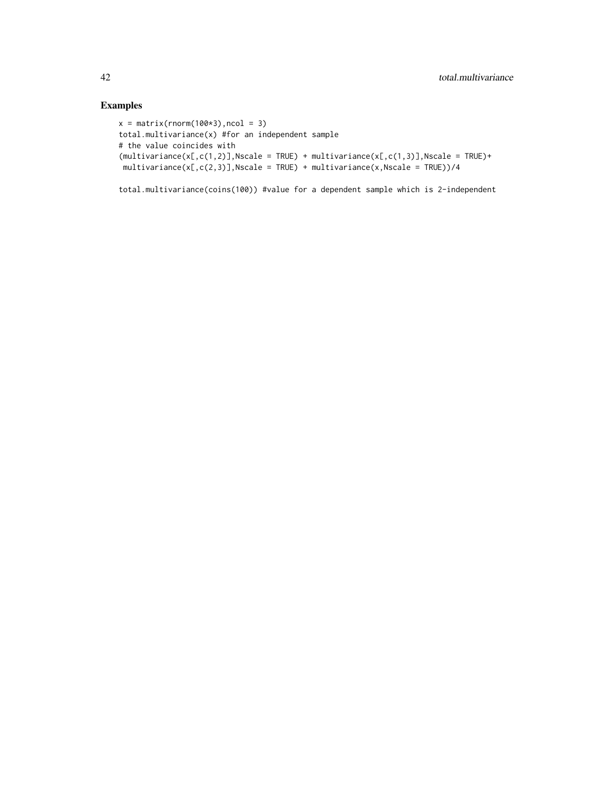# Examples

```
x = matrix(rnorm(100*3), ncol = 3)total.multivariance(x) #for an independent sample
# the value coincides with
(multivariate(x[,c(1,2)],Nscale = TRUE) + multivariance(x[,c(1,3)],Nscale = TRUE)+
multivariance(x[,c(2,3)],Nscale = TRUE) + multivariance(x,Nscale = TRUE))/4
```
total.multivariance(coins(100)) #value for a dependent sample which is 2-independent